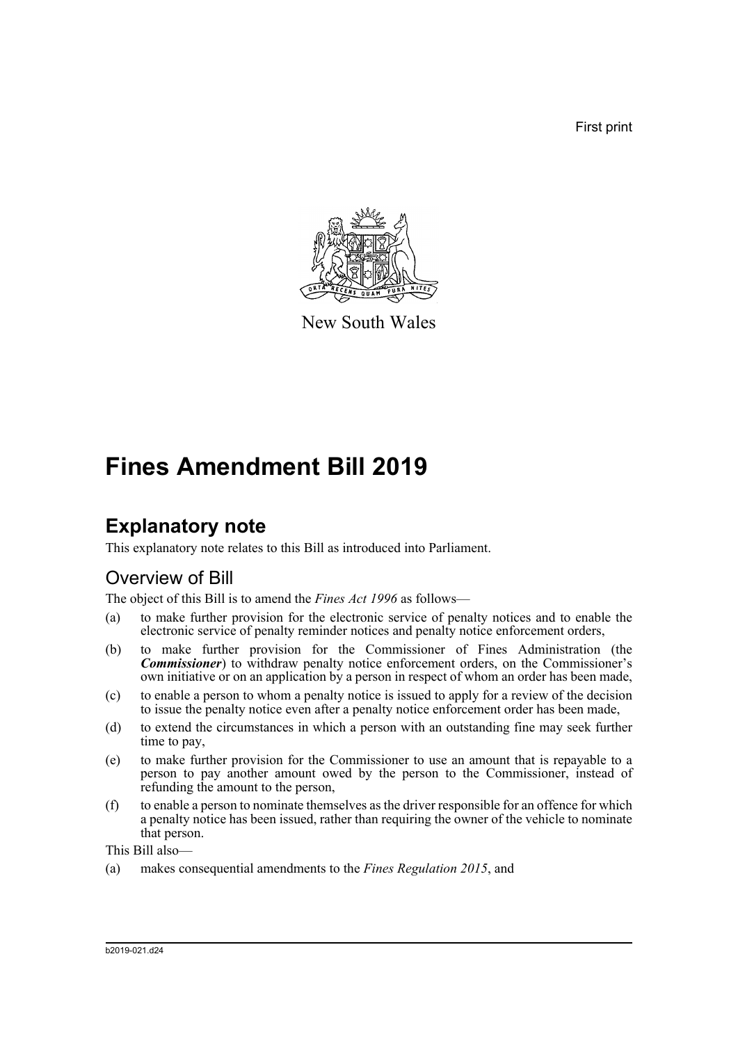First print



New South Wales

# **Fines Amendment Bill 2019**

## **Explanatory note**

This explanatory note relates to this Bill as introduced into Parliament.

## Overview of Bill

The object of this Bill is to amend the *Fines Act 1996* as follows—

- (a) to make further provision for the electronic service of penalty notices and to enable the electronic service of penalty reminder notices and penalty notice enforcement orders,
- (b) to make further provision for the Commissioner of Fines Administration (the *Commissioner*) to withdraw penalty notice enforcement orders, on the Commissioner's own initiative or on an application by a person in respect of whom an order has been made,
- (c) to enable a person to whom a penalty notice is issued to apply for a review of the decision to issue the penalty notice even after a penalty notice enforcement order has been made,
- (d) to extend the circumstances in which a person with an outstanding fine may seek further time to pay,
- (e) to make further provision for the Commissioner to use an amount that is repayable to a person to pay another amount owed by the person to the Commissioner, instead of refunding the amount to the person,
- (f) to enable a person to nominate themselves as the driver responsible for an offence for which a penalty notice has been issued, rather than requiring the owner of the vehicle to nominate that person.

This Bill also—

(a) makes consequential amendments to the *Fines Regulation 2015*, and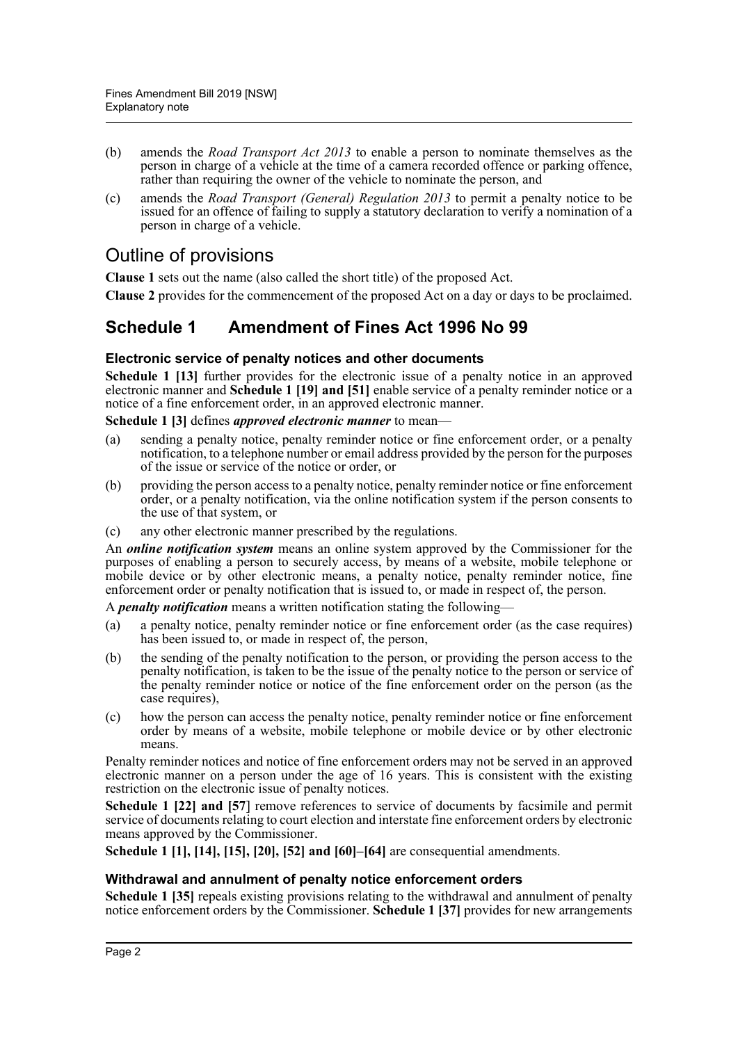- (b) amends the *Road Transport Act 2013* to enable a person to nominate themselves as the person in charge of a vehicle at the time of a camera recorded offence or parking offence, rather than requiring the owner of the vehicle to nominate the person, and
- (c) amends the *Road Transport (General) Regulation 2013* to permit a penalty notice to be issued for an offence of failing to supply a statutory declaration to verify a nomination of a person in charge of a vehicle.

### Outline of provisions

**Clause 1** sets out the name (also called the short title) of the proposed Act.

**Clause 2** provides for the commencement of the proposed Act on a day or days to be proclaimed.

### **Schedule 1 Amendment of Fines Act 1996 No 99**

### **Electronic service of penalty notices and other documents**

**Schedule 1 [13]** further provides for the electronic issue of a penalty notice in an approved electronic manner and **Schedule 1 [19] and [51]** enable service of a penalty reminder notice or a notice of a fine enforcement order, in an approved electronic manner.

**Schedule 1 [3]** defines *approved electronic manner* to mean—

- (a) sending a penalty notice, penalty reminder notice or fine enforcement order, or a penalty notification, to a telephone number or email address provided by the person for the purposes of the issue or service of the notice or order, or
- (b) providing the person access to a penalty notice, penalty reminder notice or fine enforcement order, or a penalty notification, via the online notification system if the person consents to the use of that system, or
- (c) any other electronic manner prescribed by the regulations.

An *online notification system* means an online system approved by the Commissioner for the purposes of enabling a person to securely access, by means of a website, mobile telephone or mobile device or by other electronic means, a penalty notice, penalty reminder notice, fine enforcement order or penalty notification that is issued to, or made in respect of, the person.

A *penalty notification* means a written notification stating the following—

- (a) a penalty notice, penalty reminder notice or fine enforcement order (as the case requires) has been issued to, or made in respect of, the person,
- (b) the sending of the penalty notification to the person, or providing the person access to the penalty notification, is taken to be the issue of the penalty notice to the person or service of the penalty reminder notice or notice of the fine enforcement order on the person (as the case requires),
- (c) how the person can access the penalty notice, penalty reminder notice or fine enforcement order by means of a website, mobile telephone or mobile device or by other electronic means.

Penalty reminder notices and notice of fine enforcement orders may not be served in an approved electronic manner on a person under the age of 16 years. This is consistent with the existing restriction on the electronic issue of penalty notices.

**Schedule 1 [22] and [57] remove references to service of documents by facsimile and permit** service of documents relating to court election and interstate fine enforcement orders by electronic means approved by the Commissioner.

**Schedule 1 [1], [14], [15], [20], [52] and [60]–[64]** are consequential amendments.

### **Withdrawal and annulment of penalty notice enforcement orders**

**Schedule 1 [35]** repeals existing provisions relating to the withdrawal and annulment of penalty notice enforcement orders by the Commissioner. **Schedule 1 [37]** provides for new arrangements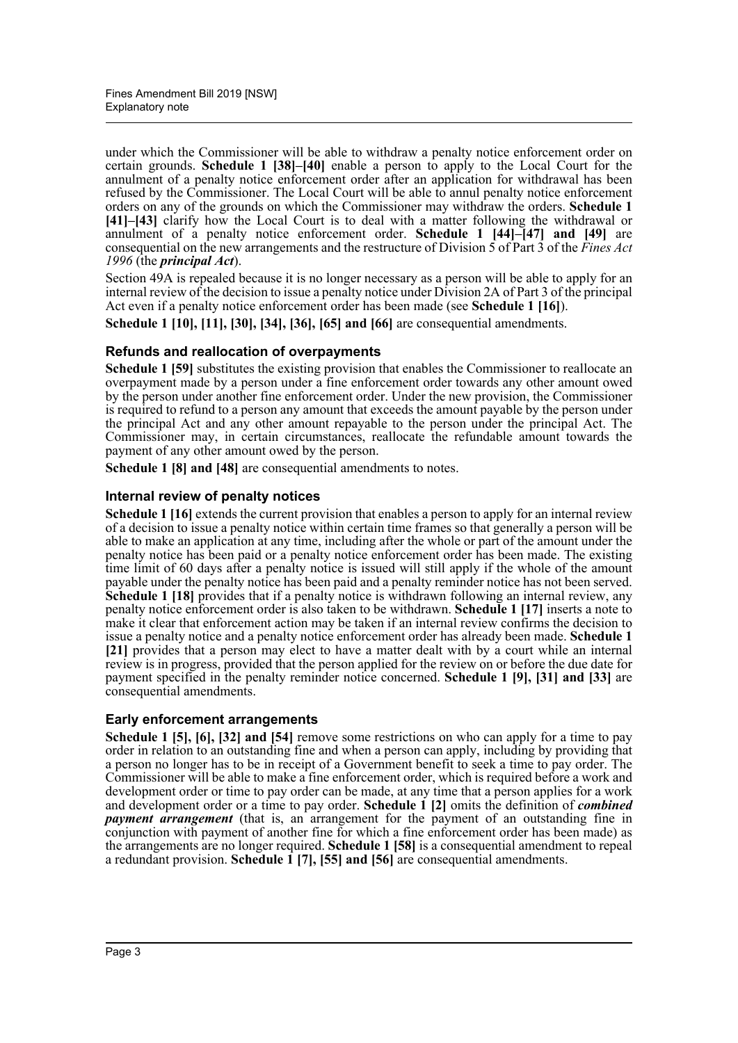under which the Commissioner will be able to withdraw a penalty notice enforcement order on certain grounds. **Schedule 1 [38]–[40]** enable a person to apply to the Local Court for the annulment of a penalty notice enforcement order after an application for withdrawal has been refused by the Commissioner. The Local Court will be able to annul penalty notice enforcement orders on any of the grounds on which the Commissioner may withdraw the orders. **Schedule 1 [41]–[43]** clarify how the Local Court is to deal with a matter following the withdrawal or annulment of a penalty notice enforcement order. **Schedule 1 [44]–[47] and [49]** are consequential on the new arrangements and the restructure of Division 5 of Part 3 of the *Fines Act 1996* (the *principal Act*).

Section 49A is repealed because it is no longer necessary as a person will be able to apply for an internal review of the decision to issue a penalty notice under Division 2A of Part 3 of the principal Act even if a penalty notice enforcement order has been made (see **Schedule 1 [16]**).

**Schedule 1 [10], [11], [30], [34], [36], [65] and [66]** are consequential amendments.

### **Refunds and reallocation of overpayments**

**Schedule 1 [59]** substitutes the existing provision that enables the Commissioner to reallocate an overpayment made by a person under a fine enforcement order towards any other amount owed by the person under another fine enforcement order. Under the new provision, the Commissioner is required to refund to a person any amount that exceeds the amount payable by the person under the principal Act and any other amount repayable to the person under the principal Act. The Commissioner may, in certain circumstances, reallocate the refundable amount towards the payment of any other amount owed by the person.

**Schedule 1 [8] and [48]** are consequential amendments to notes.

### **Internal review of penalty notices**

**Schedule 1 [16]** extends the current provision that enables a person to apply for an internal review of a decision to issue a penalty notice within certain time frames so that generally a person will be able to make an application at any time, including after the whole or part of the amount under the penalty notice has been paid or a penalty notice enforcement order has been made. The existing time limit of 60 days after a penalty notice is issued will still apply if the whole of the amount payable under the penalty notice has been paid and a penalty reminder notice has not been served. **Schedule 1 [18]** provides that if a penalty notice is withdrawn following an internal review, any penalty notice enforcement order is also taken to be withdrawn. **Schedule 1 [17]** inserts a note to make it clear that enforcement action may be taken if an internal review confirms the decision to issue a penalty notice and a penalty notice enforcement order has already been made. **Schedule 1 [21]** provides that a person may elect to have a matter dealt with by a court while an internal review is in progress, provided that the person applied for the review on or before the due date for payment specified in the penalty reminder notice concerned. **Schedule 1 [9], [31] and [33]** are consequential amendments.

### **Early enforcement arrangements**

**Schedule 1 [5], [6], [32] and [54]** remove some restrictions on who can apply for a time to pay order in relation to an outstanding fine and when a person can apply, including by providing that a person no longer has to be in receipt of a Government benefit to seek a time to pay order. The Commissioner will be able to make a fine enforcement order, which is required before a work and development order or time to pay order can be made, at any time that a person applies for a work and development order or a time to pay order. **Schedule 1 [2]** omits the definition of *combined payment arrangement* (that is, an arrangement for the payment of an outstanding fine in conjunction with payment of another fine for which a fine enforcement order has been made) as the arrangements are no longer required. **Schedule 1 [58]** is a consequential amendment to repeal a redundant provision. **Schedule 1 [7], [55] and [56]** are consequential amendments.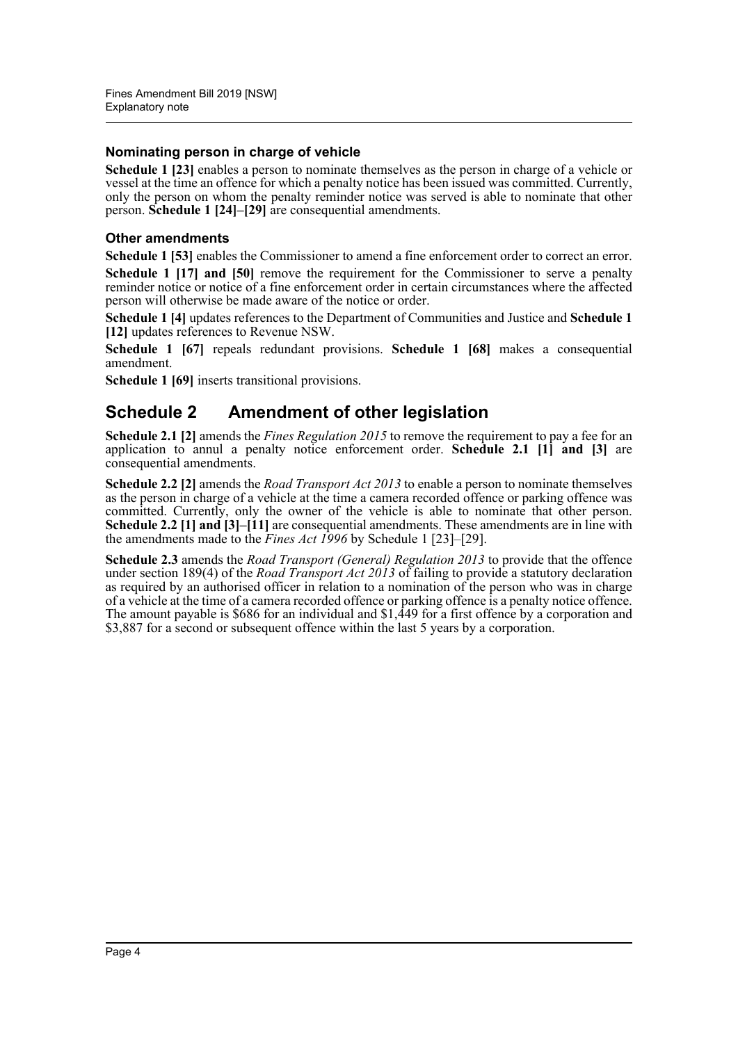### **Nominating person in charge of vehicle**

**Schedule 1 [23]** enables a person to nominate themselves as the person in charge of a vehicle or vessel at the time an offence for which a penalty notice has been issued was committed. Currently, only the person on whom the penalty reminder notice was served is able to nominate that other person. **Schedule 1 [24]–[29]** are consequential amendments.

### **Other amendments**

**Schedule 1 [53]** enables the Commissioner to amend a fine enforcement order to correct an error. **Schedule 1 [17] and [50]** remove the requirement for the Commissioner to serve a penalty reminder notice or notice of a fine enforcement order in certain circumstances where the affected person will otherwise be made aware of the notice or order.

**Schedule 1 [4]** updates references to the Department of Communities and Justice and **Schedule 1 [12]** updates references to Revenue NSW.

**Schedule 1 [67]** repeals redundant provisions. **Schedule 1 [68]** makes a consequential amendment.

**Schedule 1 [69]** inserts transitional provisions.

### **Schedule 2 Amendment of other legislation**

**Schedule 2.1 [2]** amends the *Fines Regulation 2015* to remove the requirement to pay a fee for an application to annul a penalty notice enforcement order. **Schedule 2.1 [1] and [3]** are consequential amendments.

**Schedule 2.2 [2]** amends the *Road Transport Act 2013* to enable a person to nominate themselves as the person in charge of a vehicle at the time a camera recorded offence or parking offence was committed. Currently, only the owner of the vehicle is able to nominate that other person. **Schedule 2.2 [1] and [3]–[11]** are consequential amendments. These amendments are in line with the amendments made to the *Fines Act 1996* by Schedule 1 [23]–[29].

**Schedule 2.3** amends the *Road Transport (General) Regulation 2013* to provide that the offence under section 189(4) of the *Road Transport Act 2013* of failing to provide a statutory declaration as required by an authorised officer in relation to a nomination of the person who was in charge of a vehicle at the time of a camera recorded offence or parking offence is a penalty notice offence. The amount payable is \$686 for an individual and \$1,449 for a first offence by a corporation and \$3,887 for a second or subsequent offence within the last 5 years by a corporation.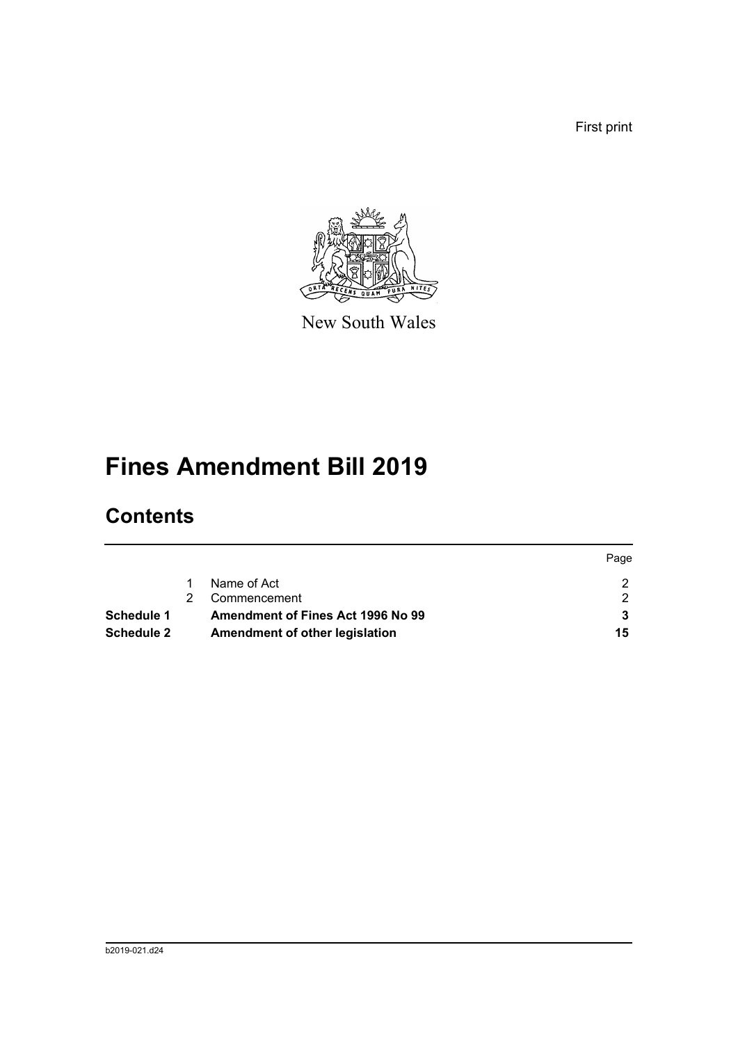First print



New South Wales

# **Fines Amendment Bill 2019**

## **Contents**

|                   |                                   | Page |
|-------------------|-----------------------------------|------|
|                   | Name of Act                       |      |
|                   | Commencement                      |      |
| <b>Schedule 1</b> | Amendment of Fines Act 1996 No 99 |      |
| <b>Schedule 2</b> | Amendment of other legislation    | 15   |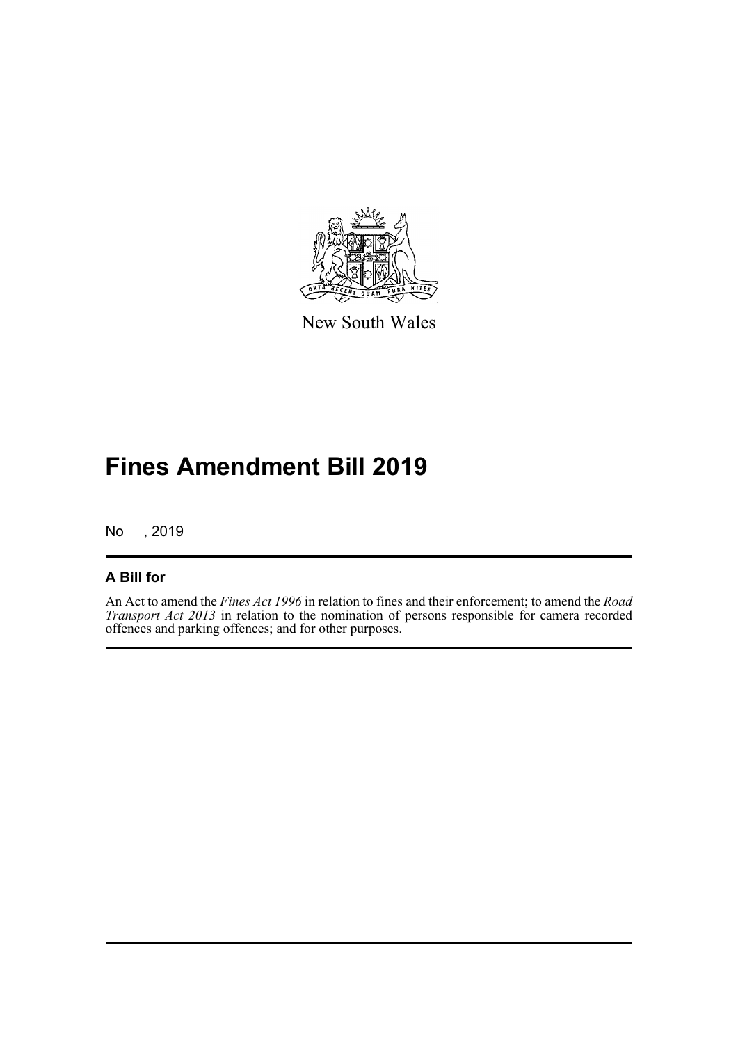

New South Wales

# **Fines Amendment Bill 2019**

No , 2019

### **A Bill for**

An Act to amend the *Fines Act 1996* in relation to fines and their enforcement; to amend the *Road Transport Act 2013* in relation to the nomination of persons responsible for camera recorded offences and parking offences; and for other purposes.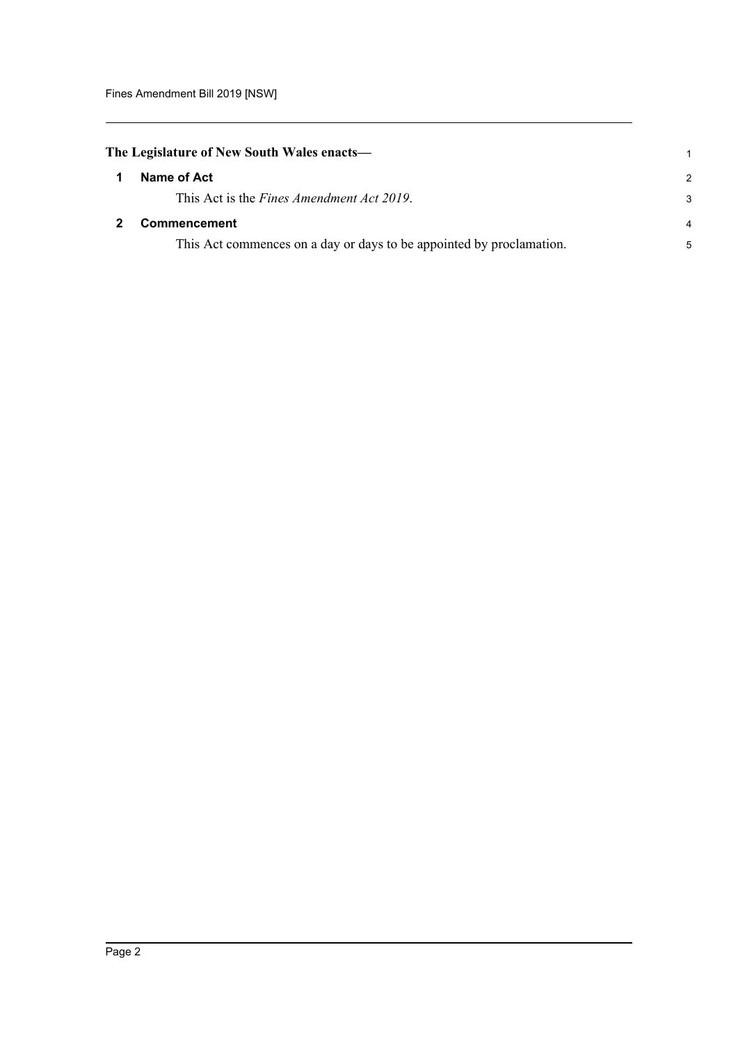<span id="page-6-1"></span><span id="page-6-0"></span>

| The Legislature of New South Wales enacts— |                                                                      |               |
|--------------------------------------------|----------------------------------------------------------------------|---------------|
|                                            | Name of Act                                                          | $\mathcal{P}$ |
|                                            | This Act is the Fines Amendment Act 2019.                            | 3             |
|                                            | <b>Commencement</b>                                                  | 4             |
|                                            | This Act commences on a day or days to be appointed by proclamation. | 5             |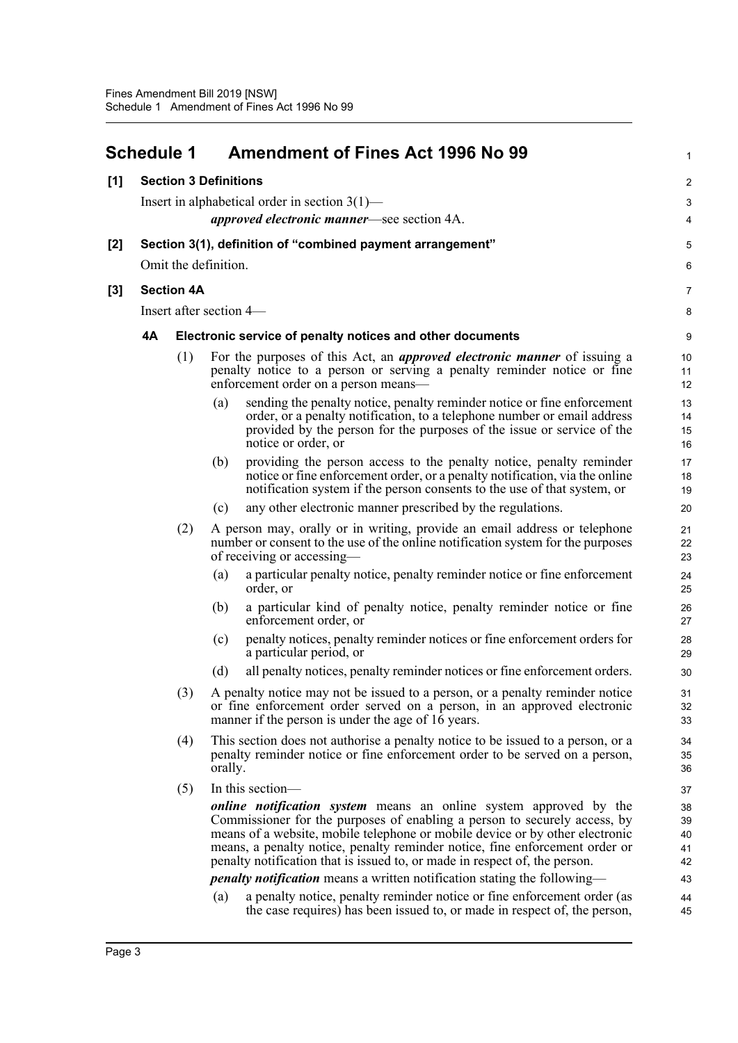<span id="page-7-0"></span>

|       | <b>Schedule 1</b>                                  |                                                  |         | <b>Amendment of Fines Act 1996 No 99</b>                                                                                                                                                                                                                                                                                                                                                                                                                                                                                                                         | 1                                      |  |  |  |  |  |
|-------|----------------------------------------------------|--------------------------------------------------|---------|------------------------------------------------------------------------------------------------------------------------------------------------------------------------------------------------------------------------------------------------------------------------------------------------------------------------------------------------------------------------------------------------------------------------------------------------------------------------------------------------------------------------------------------------------------------|----------------------------------------|--|--|--|--|--|
| [1]   |                                                    | <b>Section 3 Definitions</b>                     |         |                                                                                                                                                                                                                                                                                                                                                                                                                                                                                                                                                                  | 2                                      |  |  |  |  |  |
|       |                                                    | Insert in alphabetical order in section $3(1)$ — |         |                                                                                                                                                                                                                                                                                                                                                                                                                                                                                                                                                                  |                                        |  |  |  |  |  |
|       | <i>approved electronic manner</i> —see section 4A. |                                                  |         |                                                                                                                                                                                                                                                                                                                                                                                                                                                                                                                                                                  |                                        |  |  |  |  |  |
| $[2]$ |                                                    |                                                  |         | Section 3(1), definition of "combined payment arrangement"                                                                                                                                                                                                                                                                                                                                                                                                                                                                                                       | 5                                      |  |  |  |  |  |
|       |                                                    | Omit the definition.                             |         |                                                                                                                                                                                                                                                                                                                                                                                                                                                                                                                                                                  | 6                                      |  |  |  |  |  |
| $[3]$ |                                                    | <b>Section 4A</b>                                |         |                                                                                                                                                                                                                                                                                                                                                                                                                                                                                                                                                                  | $\overline{7}$                         |  |  |  |  |  |
|       |                                                    | Insert after section 4—                          |         |                                                                                                                                                                                                                                                                                                                                                                                                                                                                                                                                                                  | 8                                      |  |  |  |  |  |
|       | 4A                                                 |                                                  |         | Electronic service of penalty notices and other documents                                                                                                                                                                                                                                                                                                                                                                                                                                                                                                        | $\boldsymbol{9}$                       |  |  |  |  |  |
|       |                                                    | (1)                                              |         | For the purposes of this Act, an <i>approved electronic manner</i> of issuing a<br>penalty notice to a person or serving a penalty reminder notice or fine<br>enforcement order on a person means—                                                                                                                                                                                                                                                                                                                                                               | 10<br>11<br>12                         |  |  |  |  |  |
|       |                                                    |                                                  | (a)     | sending the penalty notice, penalty reminder notice or fine enforcement<br>order, or a penalty notification, to a telephone number or email address<br>provided by the person for the purposes of the issue or service of the<br>notice or order, or                                                                                                                                                                                                                                                                                                             | 13<br>14<br>15<br>16                   |  |  |  |  |  |
|       |                                                    |                                                  | (b)     | providing the person access to the penalty notice, penalty reminder<br>notice or fine enforcement order, or a penalty notification, via the online<br>notification system if the person consents to the use of that system, or                                                                                                                                                                                                                                                                                                                                   | 17<br>18<br>19                         |  |  |  |  |  |
|       |                                                    |                                                  | (c)     | any other electronic manner prescribed by the regulations.                                                                                                                                                                                                                                                                                                                                                                                                                                                                                                       | 20                                     |  |  |  |  |  |
|       |                                                    | (2)                                              |         | A person may, orally or in writing, provide an email address or telephone<br>number or consent to the use of the online notification system for the purposes<br>of receiving or accessing—                                                                                                                                                                                                                                                                                                                                                                       | 21<br>22<br>23                         |  |  |  |  |  |
|       |                                                    |                                                  | (a)     | a particular penalty notice, penalty reminder notice or fine enforcement<br>order, or                                                                                                                                                                                                                                                                                                                                                                                                                                                                            | 24<br>25                               |  |  |  |  |  |
|       |                                                    |                                                  | (b)     | a particular kind of penalty notice, penalty reminder notice or fine<br>enforcement order, or                                                                                                                                                                                                                                                                                                                                                                                                                                                                    | 26<br>27                               |  |  |  |  |  |
|       |                                                    |                                                  | (c)     | penalty notices, penalty reminder notices or fine enforcement orders for<br>a particular period, or                                                                                                                                                                                                                                                                                                                                                                                                                                                              | 28<br>29                               |  |  |  |  |  |
|       |                                                    |                                                  | (d)     | all penalty notices, penalty reminder notices or fine enforcement orders.                                                                                                                                                                                                                                                                                                                                                                                                                                                                                        | 30                                     |  |  |  |  |  |
|       |                                                    | (3)                                              |         | A penalty notice may not be issued to a person, or a penalty reminder notice<br>or fine enforcement order served on a person, in an approved electronic<br>manner if the person is under the age of $1\overline{6}$ years.                                                                                                                                                                                                                                                                                                                                       | 31<br>32<br>33                         |  |  |  |  |  |
|       |                                                    | (4)                                              | orally. | This section does not authorise a penalty notice to be issued to a person, or a<br>penalty reminder notice or fine enforcement order to be served on a person,                                                                                                                                                                                                                                                                                                                                                                                                   | 34<br>35<br>36                         |  |  |  |  |  |
|       |                                                    | (5)                                              |         | In this section-                                                                                                                                                                                                                                                                                                                                                                                                                                                                                                                                                 | 37                                     |  |  |  |  |  |
|       |                                                    |                                                  | (a)     | <i>online notification system</i> means an online system approved by the<br>Commissioner for the purposes of enabling a person to securely access, by<br>means of a website, mobile telephone or mobile device or by other electronic<br>means, a penalty notice, penalty reminder notice, fine enforcement order or<br>penalty notification that is issued to, or made in respect of, the person.<br><i>penalty notification</i> means a written notification stating the following—<br>a penalty notice, penalty reminder notice or fine enforcement order (as | 38<br>39<br>40<br>41<br>42<br>43<br>44 |  |  |  |  |  |
|       |                                                    |                                                  |         | the case requires) has been issued to, or made in respect of, the person,                                                                                                                                                                                                                                                                                                                                                                                                                                                                                        | 45                                     |  |  |  |  |  |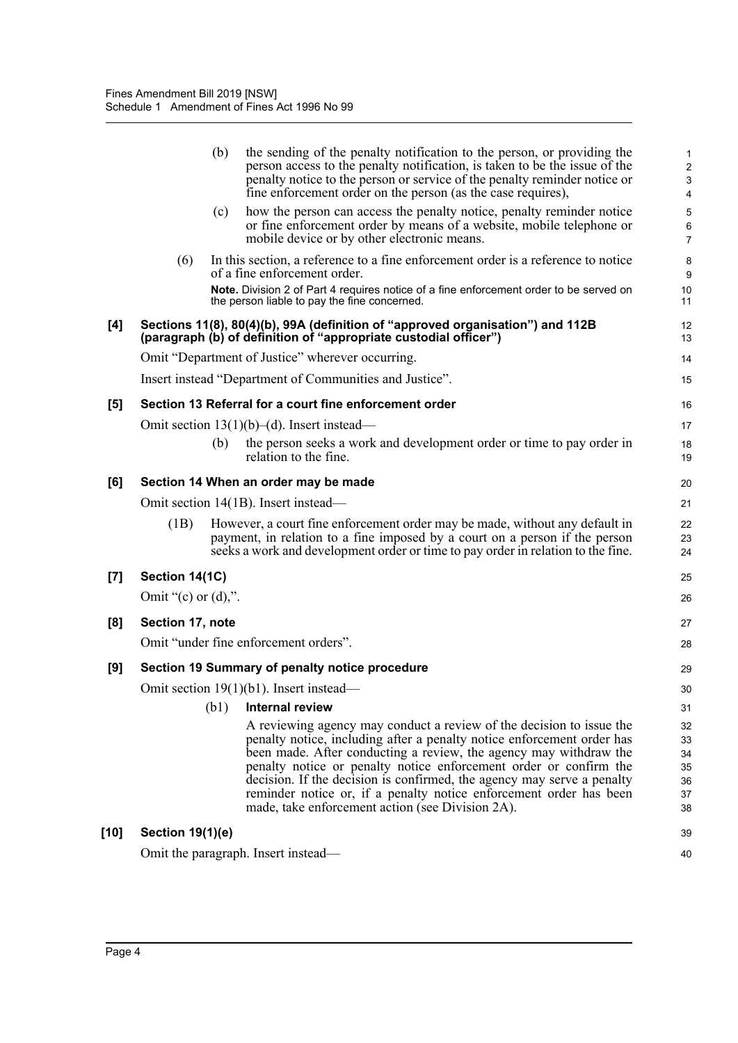|       |                         | (b)  | the sending of the penalty notification to the person, or providing the<br>person access to the penalty notification, is taken to be the issue of the<br>penalty notice to the person or service of the penalty reminder notice or<br>fine enforcement order on the person (as the case requires),                                                                                                                                                                                           | 1<br>$\overline{\mathbf{c}}$<br>3<br>4 |
|-------|-------------------------|------|----------------------------------------------------------------------------------------------------------------------------------------------------------------------------------------------------------------------------------------------------------------------------------------------------------------------------------------------------------------------------------------------------------------------------------------------------------------------------------------------|----------------------------------------|
|       |                         | (c)  | how the person can access the penalty notice, penalty reminder notice<br>or fine enforcement order by means of a website, mobile telephone or<br>mobile device or by other electronic means.                                                                                                                                                                                                                                                                                                 | 5<br>6<br>7                            |
|       | (6)                     |      | In this section, a reference to a fine enforcement order is a reference to notice<br>of a fine enforcement order.<br>Note. Division 2 of Part 4 requires notice of a fine enforcement order to be served on<br>the person liable to pay the fine concerned.                                                                                                                                                                                                                                  | 8<br>9<br>10<br>11                     |
| [4]   |                         |      | Sections 11(8), 80(4)(b), 99A (definition of "approved organisation") and 112B<br>(paragraph (b) of definition of "appropriate custodial officer")                                                                                                                                                                                                                                                                                                                                           | 12<br>13                               |
|       |                         |      | Omit "Department of Justice" wherever occurring.                                                                                                                                                                                                                                                                                                                                                                                                                                             | 14                                     |
|       |                         |      | Insert instead "Department of Communities and Justice".                                                                                                                                                                                                                                                                                                                                                                                                                                      | 15                                     |
| [5]   |                         |      | Section 13 Referral for a court fine enforcement order                                                                                                                                                                                                                                                                                                                                                                                                                                       | 16                                     |
|       |                         |      | Omit section $13(1)(b)$ –(d). Insert instead—                                                                                                                                                                                                                                                                                                                                                                                                                                                | 17                                     |
|       |                         | (b)  | the person seeks a work and development order or time to pay order in<br>relation to the fine.                                                                                                                                                                                                                                                                                                                                                                                               | 18<br>19                               |
| [6]   |                         |      | Section 14 When an order may be made                                                                                                                                                                                                                                                                                                                                                                                                                                                         | 20                                     |
|       |                         |      | Omit section 14(1B). Insert instead—                                                                                                                                                                                                                                                                                                                                                                                                                                                         | 21                                     |
|       | (1B)                    |      | However, a court fine enforcement order may be made, without any default in<br>payment, in relation to a fine imposed by a court on a person if the person<br>seeks a work and development order or time to pay order in relation to the fine.                                                                                                                                                                                                                                               | 22<br>23<br>24                         |
| $[7]$ | Section 14(1C)          |      |                                                                                                                                                                                                                                                                                                                                                                                                                                                                                              | 25                                     |
|       | Omit "(c) or $(d)$ ,".  |      |                                                                                                                                                                                                                                                                                                                                                                                                                                                                                              | 26                                     |
| [8]   | Section 17, note        |      |                                                                                                                                                                                                                                                                                                                                                                                                                                                                                              | 27                                     |
|       |                         |      | Omit "under fine enforcement orders".                                                                                                                                                                                                                                                                                                                                                                                                                                                        | 28                                     |
| [9]   |                         |      | Section 19 Summary of penalty notice procedure                                                                                                                                                                                                                                                                                                                                                                                                                                               | 29                                     |
|       |                         |      | Omit section $19(1)(b1)$ . Insert instead—                                                                                                                                                                                                                                                                                                                                                                                                                                                   | 30                                     |
|       |                         | (b1) | <b>Internal review</b>                                                                                                                                                                                                                                                                                                                                                                                                                                                                       | 31                                     |
|       |                         |      | A reviewing agency may conduct a review of the decision to issue the<br>penalty notice, including after a penalty notice enforcement order has<br>been made. After conducting a review, the agency may withdraw the<br>penalty notice or penalty notice enforcement order or confirm the<br>decision. If the decision is confirmed, the agency may serve a penalty<br>reminder notice or, if a penalty notice enforcement order has been<br>made, take enforcement action (see Division 2A). | 32<br>33<br>34<br>35<br>36<br>37<br>38 |
| [10]  | <b>Section 19(1)(e)</b> |      |                                                                                                                                                                                                                                                                                                                                                                                                                                                                                              | 39                                     |
|       |                         |      | Omit the paragraph. Insert instead-                                                                                                                                                                                                                                                                                                                                                                                                                                                          | 40                                     |
|       |                         |      |                                                                                                                                                                                                                                                                                                                                                                                                                                                                                              |                                        |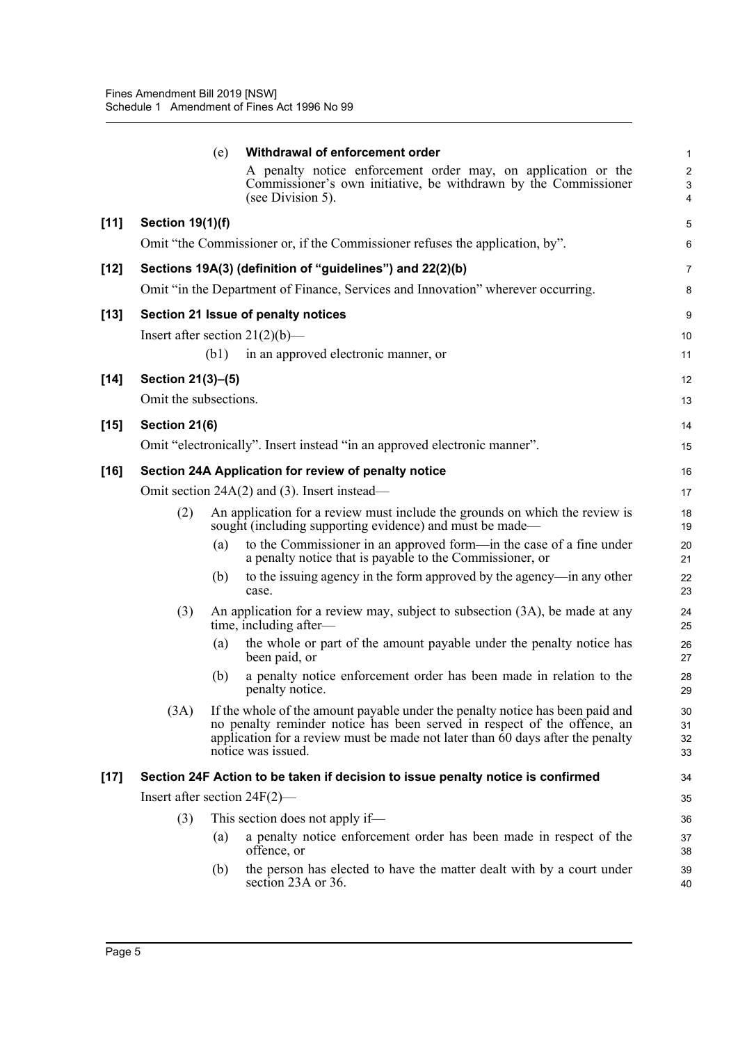|        |                                 | (e)  | Withdrawal of enforcement order                                                                                                                                                                                                                                   | 1                        |
|--------|---------------------------------|------|-------------------------------------------------------------------------------------------------------------------------------------------------------------------------------------------------------------------------------------------------------------------|--------------------------|
|        |                                 |      | A penalty notice enforcement order may, on application or the<br>Commissioner's own initiative, be withdrawn by the Commissioner<br>(see Division 5).                                                                                                             | $\overline{c}$<br>3<br>4 |
| $[11]$ | <b>Section 19(1)(f)</b>         |      |                                                                                                                                                                                                                                                                   | 5                        |
|        |                                 |      | Omit "the Commissioner or, if the Commissioner refuses the application, by".                                                                                                                                                                                      | 6                        |
| $[12]$ |                                 |      | Sections 19A(3) (definition of "guidelines") and 22(2)(b)                                                                                                                                                                                                         | 7                        |
|        |                                 |      | Omit "in the Department of Finance, Services and Innovation" wherever occurring.                                                                                                                                                                                  | 8                        |
| $[13]$ |                                 |      | Section 21 Issue of penalty notices                                                                                                                                                                                                                               | 9                        |
|        |                                 |      | Insert after section $21(2)(b)$ —                                                                                                                                                                                                                                 | 10                       |
|        |                                 | (b1) | in an approved electronic manner, or                                                                                                                                                                                                                              | 11                       |
| $[14]$ | Section 21(3)-(5)               |      |                                                                                                                                                                                                                                                                   | 12                       |
|        | Omit the subsections.           |      |                                                                                                                                                                                                                                                                   | 13                       |
| $[15]$ | Section 21(6)                   |      |                                                                                                                                                                                                                                                                   | 14                       |
|        |                                 |      | Omit "electronically". Insert instead "in an approved electronic manner".                                                                                                                                                                                         | 15                       |
| $[16]$ |                                 |      | Section 24A Application for review of penalty notice                                                                                                                                                                                                              | 16                       |
|        |                                 |      | Omit section 24A(2) and (3). Insert instead—                                                                                                                                                                                                                      | 17                       |
|        | (2)                             |      | An application for a review must include the grounds on which the review is<br>sought (including supporting evidence) and must be made—                                                                                                                           | 18<br>19                 |
|        |                                 | (a)  | to the Commissioner in an approved form—in the case of a fine under<br>a penalty notice that is payable to the Commissioner, or                                                                                                                                   | 20<br>21                 |
|        |                                 | (b)  | to the issuing agency in the form approved by the agency—in any other<br>case.                                                                                                                                                                                    | 22<br>23                 |
|        | (3)                             |      | An application for a review may, subject to subsection (3A), be made at any<br>time, including after—                                                                                                                                                             | 24<br>25                 |
|        |                                 | (a)  | the whole or part of the amount payable under the penalty notice has<br>been paid, or                                                                                                                                                                             | 26<br>27                 |
|        |                                 | (b)  | a penalty notice enforcement order has been made in relation to the<br>penalty notice.                                                                                                                                                                            | 28<br>29                 |
|        | (3A)                            |      | If the whole of the amount payable under the penalty notice has been paid and<br>no penalty reminder notice has been served in respect of the offence, an<br>application for a review must be made not later than 60 days after the penalty<br>notice was issued. | 30<br>31<br>32<br>33     |
| $[17]$ |                                 |      | Section 24F Action to be taken if decision to issue penalty notice is confirmed                                                                                                                                                                                   | 34                       |
|        | Insert after section $24F(2)$ — |      |                                                                                                                                                                                                                                                                   | 35                       |
|        | (3)                             |      | This section does not apply if—                                                                                                                                                                                                                                   | 36                       |
|        |                                 | (a)  | a penalty notice enforcement order has been made in respect of the<br>offence, or                                                                                                                                                                                 | 37<br>38                 |
|        |                                 | (b)  | the person has elected to have the matter dealt with by a court under<br>section 23A or 36.                                                                                                                                                                       | 39<br>40                 |
|        |                                 |      |                                                                                                                                                                                                                                                                   |                          |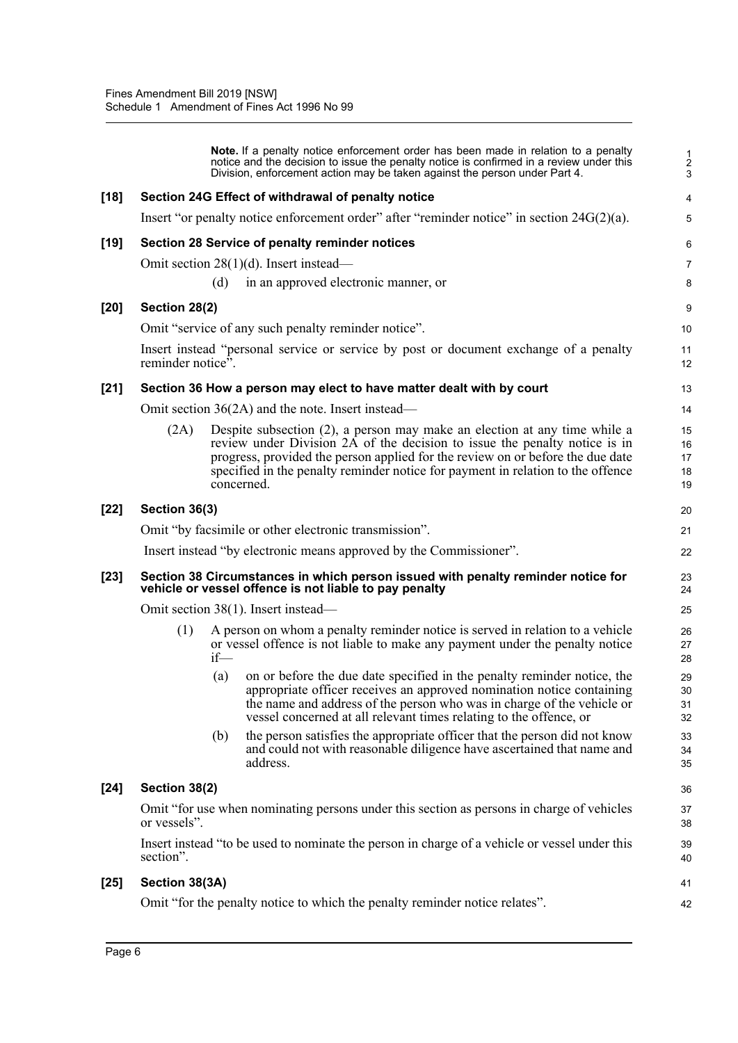|        |                                                                                                           |        | <b>Note.</b> If a penalty notice enforcement order has been made in relation to a penalty<br>notice and the decision to issue the penalty notice is confirmed in a review under this<br>Division, enforcement action may be taken against the person under Part 4.                                                                                      | $\frac{1}{2}$<br>3         |  |  |
|--------|-----------------------------------------------------------------------------------------------------------|--------|---------------------------------------------------------------------------------------------------------------------------------------------------------------------------------------------------------------------------------------------------------------------------------------------------------------------------------------------------------|----------------------------|--|--|
| $[18]$ |                                                                                                           |        | Section 24G Effect of withdrawal of penalty notice                                                                                                                                                                                                                                                                                                      | 4                          |  |  |
|        |                                                                                                           |        | Insert "or penalty notice enforcement order" after "reminder notice" in section $24G(2)(a)$ .                                                                                                                                                                                                                                                           | 5                          |  |  |
| $[19]$ |                                                                                                           |        | Section 28 Service of penalty reminder notices                                                                                                                                                                                                                                                                                                          | 6                          |  |  |
|        |                                                                                                           |        | Omit section $28(1)(d)$ . Insert instead—                                                                                                                                                                                                                                                                                                               | 7                          |  |  |
|        |                                                                                                           | (d)    | in an approved electronic manner, or                                                                                                                                                                                                                                                                                                                    | 8                          |  |  |
| $[20]$ | Section 28(2)                                                                                             |        |                                                                                                                                                                                                                                                                                                                                                         | 9                          |  |  |
|        |                                                                                                           |        | Omit "service of any such penalty reminder notice".                                                                                                                                                                                                                                                                                                     | 10                         |  |  |
|        | reminder notice".                                                                                         |        | Insert instead "personal service or service by post or document exchange of a penalty                                                                                                                                                                                                                                                                   | 11<br>12                   |  |  |
| $[21]$ |                                                                                                           |        | Section 36 How a person may elect to have matter dealt with by court                                                                                                                                                                                                                                                                                    | 13                         |  |  |
|        |                                                                                                           |        | Omit section $36(2A)$ and the note. Insert instead—                                                                                                                                                                                                                                                                                                     | 14                         |  |  |
|        | (2A)                                                                                                      |        | Despite subsection (2), a person may make an election at any time while a<br>review under Division $2\overline{A}$ of the decision to issue the penalty notice is in<br>progress, provided the person applied for the review on or before the due date<br>specified in the penalty reminder notice for payment in relation to the offence<br>concerned. | 15<br>16<br>17<br>18<br>19 |  |  |
| $[22]$ | Section 36(3)                                                                                             |        |                                                                                                                                                                                                                                                                                                                                                         | 20                         |  |  |
|        |                                                                                                           |        | Omit "by facsimile or other electronic transmission".                                                                                                                                                                                                                                                                                                   | 21                         |  |  |
|        |                                                                                                           |        | Insert instead "by electronic means approved by the Commissioner".                                                                                                                                                                                                                                                                                      | 22                         |  |  |
| $[23]$ |                                                                                                           |        | Section 38 Circumstances in which person issued with penalty reminder notice for<br>vehicle or vessel offence is not liable to pay penalty                                                                                                                                                                                                              | 23<br>24                   |  |  |
|        |                                                                                                           |        | Omit section 38(1). Insert instead—                                                                                                                                                                                                                                                                                                                     | 25                         |  |  |
|        | (1)                                                                                                       | $if$ — | A person on whom a penalty reminder notice is served in relation to a vehicle<br>or vessel offence is not liable to make any payment under the penalty notice                                                                                                                                                                                           | 26<br>27<br>28             |  |  |
|        |                                                                                                           | (a)    | on or before the due date specified in the penalty reminder notice, the<br>appropriate officer receives an approved nomination notice containing<br>the name and address of the person who was in charge of the vehicle or<br>vessel concerned at all relevant times relating to the offence, or                                                        | 29<br>30<br>31<br>32       |  |  |
|        |                                                                                                           | (b)    | the person satisfies the appropriate officer that the person did not know<br>and could not with reasonable diligence have ascertained that name and<br>address.                                                                                                                                                                                         | 33<br>34<br>35             |  |  |
| $[24]$ | Section 38(2)                                                                                             |        |                                                                                                                                                                                                                                                                                                                                                         | 36                         |  |  |
|        | Omit "for use when nominating persons under this section as persons in charge of vehicles<br>or vessels". |        |                                                                                                                                                                                                                                                                                                                                                         |                            |  |  |
|        | section".                                                                                                 |        | Insert instead "to be used to nominate the person in charge of a vehicle or vessel under this                                                                                                                                                                                                                                                           | 39<br>40                   |  |  |
| $[25]$ | Section 38(3A)                                                                                            |        |                                                                                                                                                                                                                                                                                                                                                         | 41                         |  |  |
|        |                                                                                                           |        | Omit "for the penalty notice to which the penalty reminder notice relates".                                                                                                                                                                                                                                                                             | 42                         |  |  |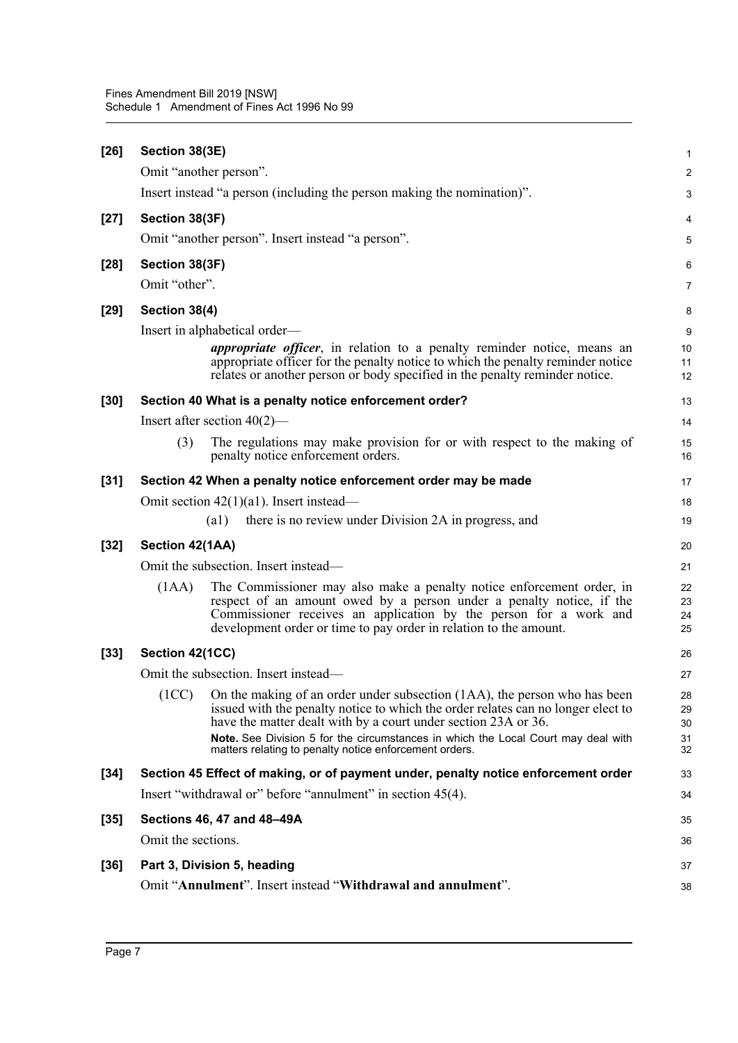| $[26]$ | Section 38(3E)     |                                                                                                                                                                                                                                                                                                                                                                                      | $\mathbf{1}$               |
|--------|--------------------|--------------------------------------------------------------------------------------------------------------------------------------------------------------------------------------------------------------------------------------------------------------------------------------------------------------------------------------------------------------------------------------|----------------------------|
|        |                    | Omit "another person".                                                                                                                                                                                                                                                                                                                                                               | $\boldsymbol{2}$           |
|        |                    | Insert instead "a person (including the person making the nomination)".                                                                                                                                                                                                                                                                                                              | 3                          |
| $[27]$ | Section 38(3F)     |                                                                                                                                                                                                                                                                                                                                                                                      | 4                          |
|        |                    | Omit "another person". Insert instead "a person".                                                                                                                                                                                                                                                                                                                                    | 5                          |
| $[28]$ | Section 38(3F)     |                                                                                                                                                                                                                                                                                                                                                                                      | 6                          |
|        | Omit "other".      |                                                                                                                                                                                                                                                                                                                                                                                      | 7                          |
| $[29]$ | Section 38(4)      |                                                                                                                                                                                                                                                                                                                                                                                      | 8                          |
|        |                    | Insert in alphabetical order—                                                                                                                                                                                                                                                                                                                                                        | 9                          |
|        |                    | <i>appropriate officer</i> , in relation to a penalty reminder notice, means an<br>appropriate officer for the penalty notice to which the penalty reminder notice<br>relates or another person or body specified in the penalty reminder notice.                                                                                                                                    | 10<br>11<br>12             |
| $[30]$ |                    | Section 40 What is a penalty notice enforcement order?                                                                                                                                                                                                                                                                                                                               | 13                         |
|        |                    | Insert after section $40(2)$ —                                                                                                                                                                                                                                                                                                                                                       | 14                         |
|        | (3)                | The regulations may make provision for or with respect to the making of<br>penalty notice enforcement orders.                                                                                                                                                                                                                                                                        | 15<br>16                   |
| $[31]$ |                    | Section 42 When a penalty notice enforcement order may be made                                                                                                                                                                                                                                                                                                                       | 17                         |
|        |                    | Omit section $42(1)(a1)$ . Insert instead—                                                                                                                                                                                                                                                                                                                                           | 18                         |
|        |                    | there is no review under Division 2A in progress, and<br>$\left( a1\right)$                                                                                                                                                                                                                                                                                                          | 19                         |
| $[32]$ | Section 42(1AA)    |                                                                                                                                                                                                                                                                                                                                                                                      | 20                         |
|        |                    | Omit the subsection. Insert instead—                                                                                                                                                                                                                                                                                                                                                 | 21                         |
|        | (1AA)              | The Commissioner may also make a penalty notice enforcement order, in<br>respect of an amount owed by a person under a penalty notice, if the<br>Commissioner receives an application by the person for a work and<br>development order or time to pay order in relation to the amount.                                                                                              | 22<br>23<br>24<br>25       |
| $[33]$ | Section 42(1CC)    |                                                                                                                                                                                                                                                                                                                                                                                      | 26                         |
|        |                    | Omit the subsection. Insert instead—                                                                                                                                                                                                                                                                                                                                                 | 27                         |
|        |                    | (1CC) On the making of an order under subsection (1AA), the person who has been<br>issued with the penalty notice to which the order relates can no longer elect to<br>have the matter dealt with by a court under section 23A or 36.<br>Note. See Division 5 for the circumstances in which the Local Court may deal with<br>matters relating to penalty notice enforcement orders. | 28<br>29<br>30<br>31<br>32 |
| $[34]$ |                    | Section 45 Effect of making, or of payment under, penalty notice enforcement order                                                                                                                                                                                                                                                                                                   | 33                         |
|        |                    | Insert "withdrawal or" before "annulment" in section 45(4).                                                                                                                                                                                                                                                                                                                          | 34                         |
| $[35]$ |                    | Sections 46, 47 and 48-49A                                                                                                                                                                                                                                                                                                                                                           | 35                         |
|        | Omit the sections. |                                                                                                                                                                                                                                                                                                                                                                                      | 36                         |
| $[36]$ |                    | Part 3, Division 5, heading                                                                                                                                                                                                                                                                                                                                                          | 37                         |
|        |                    | Omit "Annulment". Insert instead "Withdrawal and annulment".                                                                                                                                                                                                                                                                                                                         | 38                         |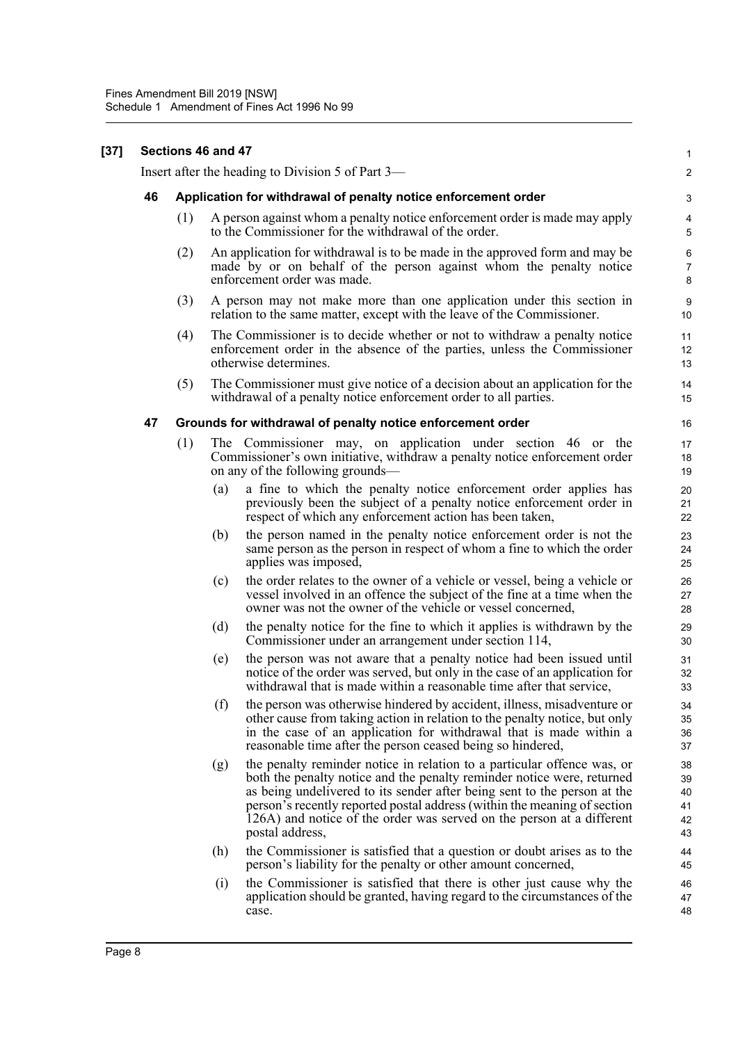Insert after the heading to Division 5 of Part 3—

**[37] Sections 46 and 47**

### **46 Application for withdrawal of penalty notice enforcement order** (1) A person against whom a penalty notice enforcement order is made may apply to the Commissioner for the withdrawal of the order. (2) An application for withdrawal is to be made in the approved form and may be made by or on behalf of the person against whom the penalty notice enforcement order was made. (3) A person may not make more than one application under this section in relation to the same matter, except with the leave of the Commissioner. (4) The Commissioner is to decide whether or not to withdraw a penalty notice enforcement order in the absence of the parties, unless the Commissioner otherwise determines. (5) The Commissioner must give notice of a decision about an application for the withdrawal of a penalty notice enforcement order to all parties. **47 Grounds for withdrawal of penalty notice enforcement order** (1) The Commissioner may, on application under section 46 or the Commissioner's own initiative, withdraw a penalty notice enforcement order on any of the following grounds a fine to which the penalty notice enforcement order applies has previously been the subject of a penalty notice enforcement order in respect of which any enforcement action has been taken, (b) the person named in the penalty notice enforcement order is not the same person as the person in respect of whom a fine to which the order applies was imposed, (c) the order relates to the owner of a vehicle or vessel, being a vehicle or vessel involved in an offence the subject of the fine at a time when the owner was not the owner of the vehicle or vessel concerned, (d) the penalty notice for the fine to which it applies is withdrawn by the Commissioner under an arrangement under section 114, (e) the person was not aware that a penalty notice had been issued until notice of the order was served, but only in the case of an application for withdrawal that is made within a reasonable time after that service, (f) the person was otherwise hindered by accident, illness, misadventure or other cause from taking action in relation to the penalty notice, but only in the case of an application for withdrawal that is made within a reasonable time after the person ceased being so hindered, (g) the penalty reminder notice in relation to a particular offence was, or both the penalty notice and the penalty reminder notice were, returned as being undelivered to its sender after being sent to the person at the person's recently reported postal address (within the meaning of section 126A) and notice of the order was served on the person at a different postal address,

- (h) the Commissioner is satisfied that a question or doubt arises as to the person's liability for the penalty or other amount concerned,
- (i) the Commissioner is satisfied that there is other just cause why the application should be granted, having regard to the circumstances of the case.

1  $\mathfrak{p}$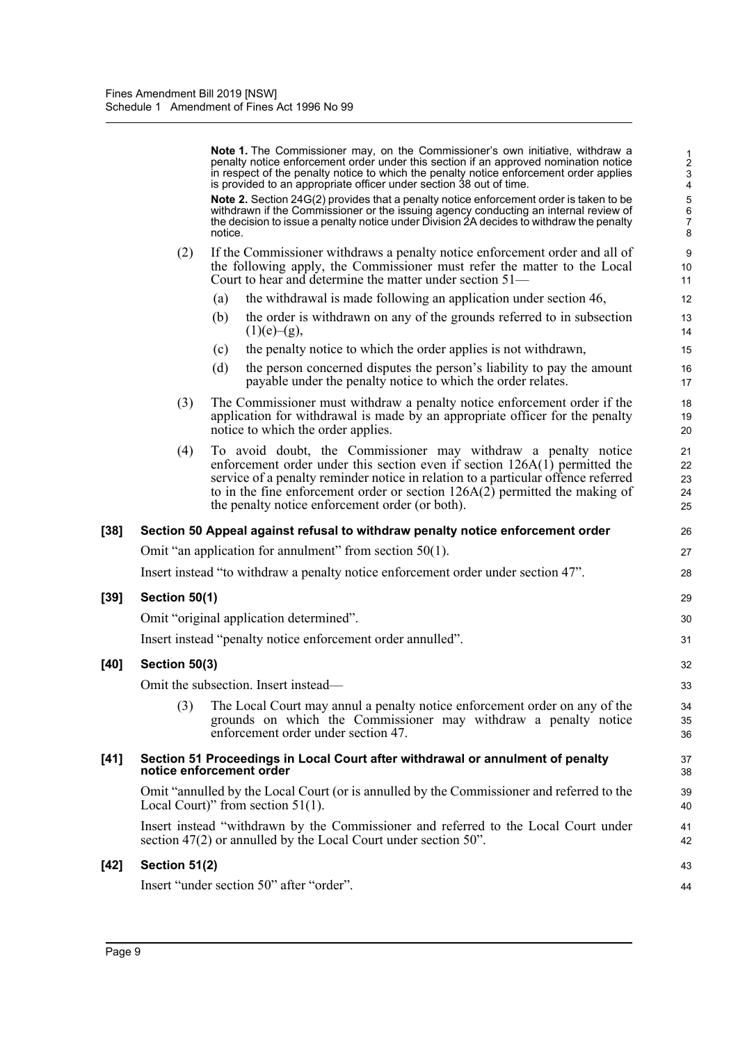|        |                          |         | Note 1. The Commissioner may, on the Commissioner's own initiative, withdraw a<br>penalty notice enforcement order under this section if an approved nomination notice<br>in respect of the penalty notice to which the penalty notice enforcement order applies<br>is provided to an appropriate officer under section 38 out of time.                                 | $\frac{1}{2}$<br>3<br>$\overline{\mathcal{L}}$ |
|--------|--------------------------|---------|-------------------------------------------------------------------------------------------------------------------------------------------------------------------------------------------------------------------------------------------------------------------------------------------------------------------------------------------------------------------------|------------------------------------------------|
|        |                          | notice. | Note 2. Section 24G(2) provides that a penalty notice enforcement order is taken to be<br>withdrawn if the Commissioner or the issuing agency conducting an internal review of<br>the decision to issue a penalty notice under Division 2A decides to withdraw the penalty                                                                                              | 5<br>$\overline{6}$<br>$\overline{7}$<br>8     |
|        | (2)                      |         | If the Commissioner withdraws a penalty notice enforcement order and all of<br>the following apply, the Commissioner must refer the matter to the Local<br>Court to hear and determine the matter under section $51-$                                                                                                                                                   | 9<br>10<br>11                                  |
|        |                          | (a)     | the withdrawal is made following an application under section 46,                                                                                                                                                                                                                                                                                                       | 12                                             |
|        |                          | (b)     | the order is withdrawn on any of the grounds referred to in subsection<br>(1)(e)–(g),                                                                                                                                                                                                                                                                                   | 13<br>14                                       |
|        |                          | (c)     | the penalty notice to which the order applies is not withdrawn,                                                                                                                                                                                                                                                                                                         | 15                                             |
|        |                          | (d)     | the person concerned disputes the person's liability to pay the amount<br>payable under the penalty notice to which the order relates.                                                                                                                                                                                                                                  | 16<br>17                                       |
|        | (3)                      |         | The Commissioner must withdraw a penalty notice enforcement order if the<br>application for withdrawal is made by an appropriate officer for the penalty<br>notice to which the order applies.                                                                                                                                                                          | 18<br>19<br>20                                 |
|        | (4)                      |         | To avoid doubt, the Commissioner may withdraw a penalty notice<br>enforcement order under this section even if section $126A(1)$ permitted the<br>service of a penalty reminder notice in relation to a particular offence referred<br>to in the fine enforcement order or section $126A(2)$ permitted the making of<br>the penalty notice enforcement order (or both). | 21<br>22<br>23<br>24<br>25                     |
| $[38]$ |                          |         | Section 50 Appeal against refusal to withdraw penalty notice enforcement order                                                                                                                                                                                                                                                                                          | 26                                             |
|        |                          |         | Omit "an application for annulment" from section $50(1)$ .                                                                                                                                                                                                                                                                                                              | 27                                             |
|        |                          |         | Insert instead "to withdraw a penalty notice enforcement order under section 47".                                                                                                                                                                                                                                                                                       | 28                                             |
| $[39]$ | Section 50(1)            |         |                                                                                                                                                                                                                                                                                                                                                                         | 29                                             |
|        |                          |         | Omit "original application determined".                                                                                                                                                                                                                                                                                                                                 | 30                                             |
|        |                          |         | Insert instead "penalty notice enforcement order annulled".                                                                                                                                                                                                                                                                                                             | 31                                             |
| $[40]$ | Section 50(3)            |         |                                                                                                                                                                                                                                                                                                                                                                         | 32                                             |
|        |                          |         | Omit the subsection. Insert instead—                                                                                                                                                                                                                                                                                                                                    | 33                                             |
|        | (3)                      |         | The Local Court may annul a penalty notice enforcement order on any of the<br>grounds on which the Commissioner may withdraw a penalty notice<br>enforcement order under section 47.                                                                                                                                                                                    | 34<br>35<br>36                                 |
| $[41]$ | notice enforcement order |         | Section 51 Proceedings in Local Court after withdrawal or annulment of penalty                                                                                                                                                                                                                                                                                          | 37<br>38                                       |
|        |                          |         | Omit "annulled by the Local Court (or is annulled by the Commissioner and referred to the<br>Local Court)" from section $51(1)$ .                                                                                                                                                                                                                                       | 39<br>40                                       |
|        |                          |         | Insert instead "withdrawn by the Commissioner and referred to the Local Court under<br>section 47(2) or annulled by the Local Court under section 50".                                                                                                                                                                                                                  | 41<br>42                                       |
| $[42]$ | Section 51(2)            |         |                                                                                                                                                                                                                                                                                                                                                                         | 43                                             |
|        |                          |         | Insert "under section 50" after "order".                                                                                                                                                                                                                                                                                                                                | 44                                             |
|        |                          |         |                                                                                                                                                                                                                                                                                                                                                                         |                                                |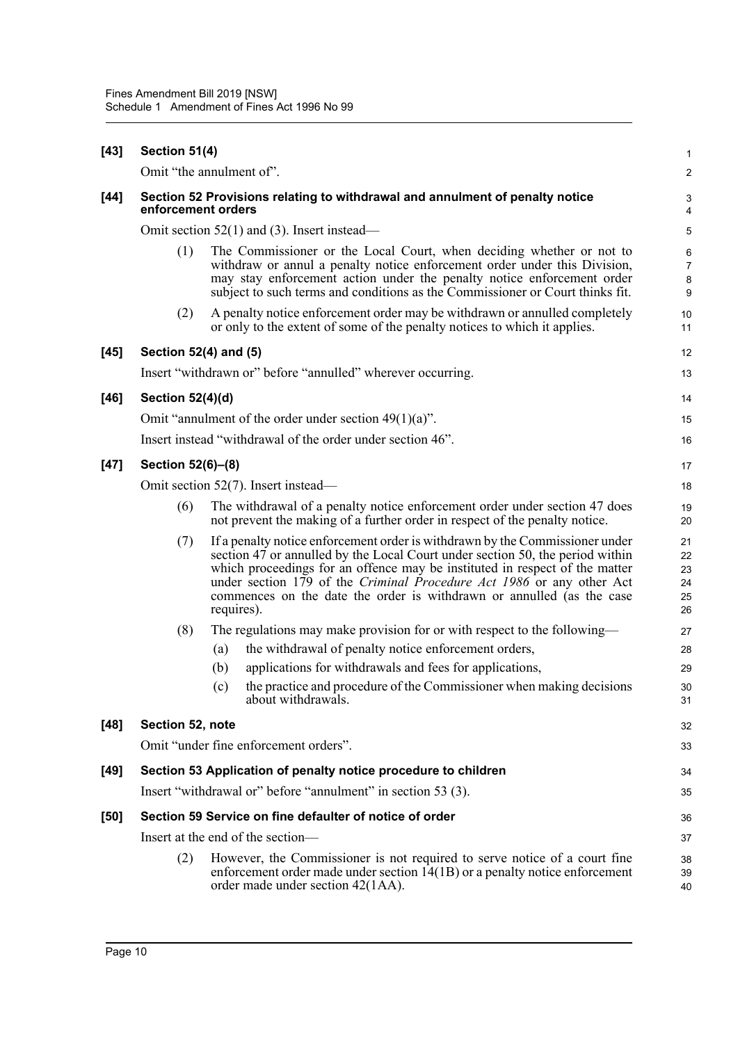| $[43]$ | Section 51(4)                                                                                      |            |                                                                                                                                                                                                                                                                                                                                                                                                | 1                                            |  |  |
|--------|----------------------------------------------------------------------------------------------------|------------|------------------------------------------------------------------------------------------------------------------------------------------------------------------------------------------------------------------------------------------------------------------------------------------------------------------------------------------------------------------------------------------------|----------------------------------------------|--|--|
|        | Omit "the annulment of".                                                                           |            |                                                                                                                                                                                                                                                                                                                                                                                                | $\overline{c}$                               |  |  |
| $[44]$ | Section 52 Provisions relating to withdrawal and annulment of penalty notice<br>enforcement orders |            |                                                                                                                                                                                                                                                                                                                                                                                                |                                              |  |  |
|        |                                                                                                    |            | Omit section $52(1)$ and (3). Insert instead—                                                                                                                                                                                                                                                                                                                                                  |                                              |  |  |
|        | (1)                                                                                                |            | The Commissioner or the Local Court, when deciding whether or not to<br>withdraw or annul a penalty notice enforcement order under this Division,<br>may stay enforcement action under the penalty notice enforcement order<br>subject to such terms and conditions as the Commissioner or Court thinks fit.                                                                                   | 6<br>$\overline{7}$<br>8<br>$\boldsymbol{9}$ |  |  |
|        | (2)                                                                                                |            | A penalty notice enforcement order may be withdrawn or annulled completely<br>or only to the extent of some of the penalty notices to which it applies.                                                                                                                                                                                                                                        | 10<br>11                                     |  |  |
| $[45]$ | Section 52(4) and (5)                                                                              |            |                                                                                                                                                                                                                                                                                                                                                                                                | 12                                           |  |  |
|        |                                                                                                    |            | Insert "withdrawn or" before "annulled" wherever occurring.                                                                                                                                                                                                                                                                                                                                    | 13                                           |  |  |
| $[46]$ | Section 52(4)(d)                                                                                   |            |                                                                                                                                                                                                                                                                                                                                                                                                | 14                                           |  |  |
|        |                                                                                                    |            | Omit "annulment of the order under section $49(1)(a)$ ".                                                                                                                                                                                                                                                                                                                                       | 15                                           |  |  |
|        |                                                                                                    |            | Insert instead "withdrawal of the order under section 46".                                                                                                                                                                                                                                                                                                                                     | 16                                           |  |  |
| $[47]$ | Section 52(6)-(8)                                                                                  |            |                                                                                                                                                                                                                                                                                                                                                                                                | 17                                           |  |  |
|        | Omit section 52(7). Insert instead—                                                                |            |                                                                                                                                                                                                                                                                                                                                                                                                |                                              |  |  |
|        | (6)                                                                                                |            | The withdrawal of a penalty notice enforcement order under section 47 does<br>not prevent the making of a further order in respect of the penalty notice.                                                                                                                                                                                                                                      | 19<br>20                                     |  |  |
|        | (7)                                                                                                | requires). | If a penalty notice enforcement order is withdrawn by the Commissioner under<br>section 47 or annulled by the Local Court under section 50, the period within<br>which proceedings for an offence may be instituted in respect of the matter<br>under section 179 of the Criminal Procedure Act 1986 or any other Act<br>commences on the date the order is withdrawn or annulled (as the case | 21<br>22<br>23<br>24<br>25<br>26             |  |  |
|        | (8)                                                                                                |            | The regulations may make provision for or with respect to the following—                                                                                                                                                                                                                                                                                                                       | 27                                           |  |  |
|        |                                                                                                    | (a)        | the withdrawal of penalty notice enforcement orders,                                                                                                                                                                                                                                                                                                                                           | 28                                           |  |  |
|        |                                                                                                    | (b)        | applications for withdrawals and fees for applications,                                                                                                                                                                                                                                                                                                                                        | 29                                           |  |  |
|        |                                                                                                    | (c)        | the practice and procedure of the Commissioner when making decisions<br>about withdrawals.                                                                                                                                                                                                                                                                                                     | 30<br>31                                     |  |  |
| $[48]$ | Section 52, note                                                                                   |            |                                                                                                                                                                                                                                                                                                                                                                                                | 32                                           |  |  |
|        |                                                                                                    |            | Omit "under fine enforcement orders".                                                                                                                                                                                                                                                                                                                                                          | 33                                           |  |  |
| $[49]$ |                                                                                                    |            | Section 53 Application of penalty notice procedure to children                                                                                                                                                                                                                                                                                                                                 | 34                                           |  |  |
|        |                                                                                                    |            | Insert "withdrawal or" before "annulment" in section 53 (3).                                                                                                                                                                                                                                                                                                                                   | 35                                           |  |  |
| $[50]$ |                                                                                                    |            | Section 59 Service on fine defaulter of notice of order                                                                                                                                                                                                                                                                                                                                        | 36                                           |  |  |
|        |                                                                                                    |            | Insert at the end of the section-                                                                                                                                                                                                                                                                                                                                                              | 37                                           |  |  |
|        | (2)                                                                                                |            | However, the Commissioner is not required to serve notice of a court fine<br>enforcement order made under section $14(1B)$ or a penalty notice enforcement<br>order made under section 42(1AA).                                                                                                                                                                                                | 38<br>39<br>40                               |  |  |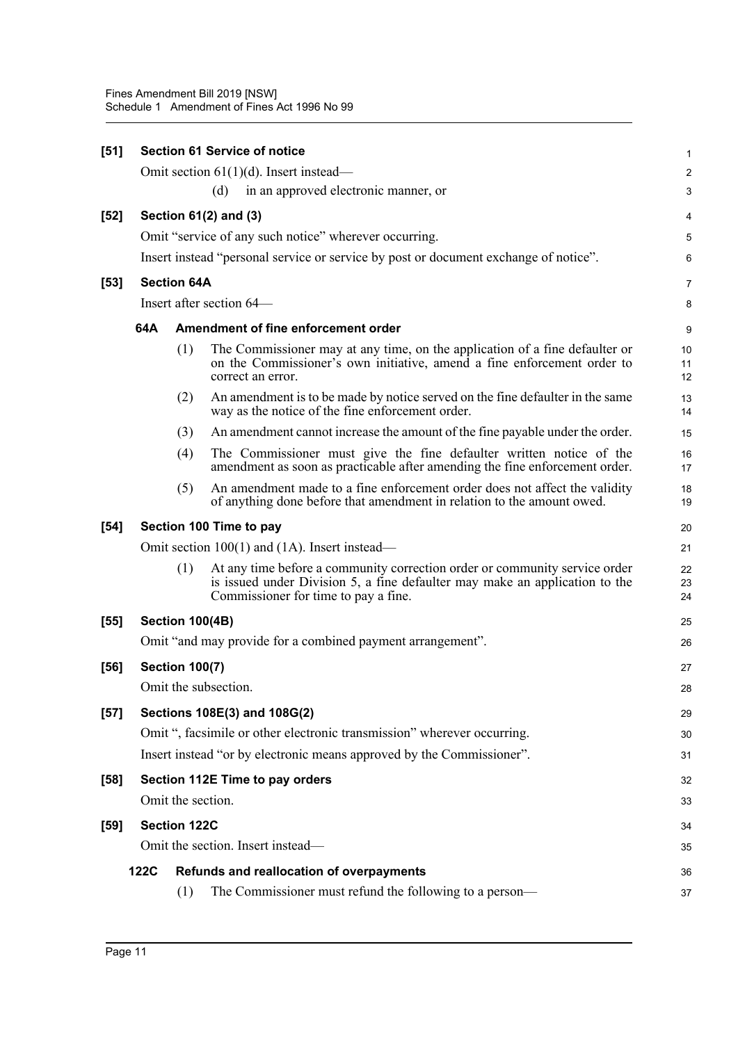| $[51]$ |             |                        | <b>Section 61 Service of notice</b>                                                                                                                                                               | 1              |
|--------|-------------|------------------------|---------------------------------------------------------------------------------------------------------------------------------------------------------------------------------------------------|----------------|
|        |             |                        | Omit section $61(1)(d)$ . Insert instead—                                                                                                                                                         | 2              |
|        |             |                        | in an approved electronic manner, or<br>(d)                                                                                                                                                       | 3              |
| $[52]$ |             |                        | Section $61(2)$ and $(3)$                                                                                                                                                                         | 4              |
|        |             |                        | Omit "service of any such notice" wherever occurring.                                                                                                                                             | 5              |
|        |             |                        | Insert instead "personal service or service by post or document exchange of notice".                                                                                                              | 6              |
| $[53]$ |             | <b>Section 64A</b>     |                                                                                                                                                                                                   | 7              |
|        |             |                        | Insert after section 64–                                                                                                                                                                          | 8              |
|        | 64A         |                        | Amendment of fine enforcement order                                                                                                                                                               | 9              |
|        |             | (1)                    | The Commissioner may at any time, on the application of a fine defaulter or<br>on the Commissioner's own initiative, amend a fine enforcement order to<br>correct an error.                       | 10<br>11<br>12 |
|        |             | (2)                    | An amendment is to be made by notice served on the fine defaulter in the same<br>way as the notice of the fine enforcement order.                                                                 | 13<br>14       |
|        |             | (3)                    | An amendment cannot increase the amount of the fine payable under the order.                                                                                                                      | 15             |
|        |             | (4)                    | The Commissioner must give the fine defaulter written notice of the<br>amendment as soon as practicable after amending the fine enforcement order.                                                | 16<br>17       |
|        |             | (5)                    | An amendment made to a fine enforcement order does not affect the validity<br>of anything done before that amendment in relation to the amount owed.                                              | 18<br>19       |
| [54]   |             |                        | Section 100 Time to pay                                                                                                                                                                           | 20             |
|        |             |                        | Omit section 100(1) and (1A). Insert instead—                                                                                                                                                     | 21             |
|        |             | (1)                    | At any time before a community correction order or community service order<br>is issued under Division 5, a fine defaulter may make an application to the<br>Commissioner for time to pay a fine. | 22<br>23<br>24 |
| $[55]$ |             | <b>Section 100(4B)</b> |                                                                                                                                                                                                   | 25             |
|        |             |                        | Omit "and may provide for a combined payment arrangement".                                                                                                                                        | 26             |
| $[56]$ |             | <b>Section 100(7)</b>  |                                                                                                                                                                                                   | 27             |
|        |             |                        | Omit the subsection.                                                                                                                                                                              | 28             |
| $[57]$ |             |                        | Sections 108E(3) and 108G(2)                                                                                                                                                                      | 29             |
|        |             |                        | Omit ", facsimile or other electronic transmission" wherever occurring.                                                                                                                           | 30             |
|        |             |                        | Insert instead "or by electronic means approved by the Commissioner".                                                                                                                             | 31             |
| [58]   |             |                        | Section 112E Time to pay orders                                                                                                                                                                   | 32             |
|        |             |                        | Omit the section.                                                                                                                                                                                 | 33             |
| $[59]$ |             | <b>Section 122C</b>    |                                                                                                                                                                                                   | 34             |
|        |             |                        | Omit the section. Insert instead—                                                                                                                                                                 | 35             |
|        | <b>122C</b> |                        | Refunds and reallocation of overpayments                                                                                                                                                          | 36             |
|        |             | (1)                    | The Commissioner must refund the following to a person-                                                                                                                                           | 37             |
|        |             |                        |                                                                                                                                                                                                   |                |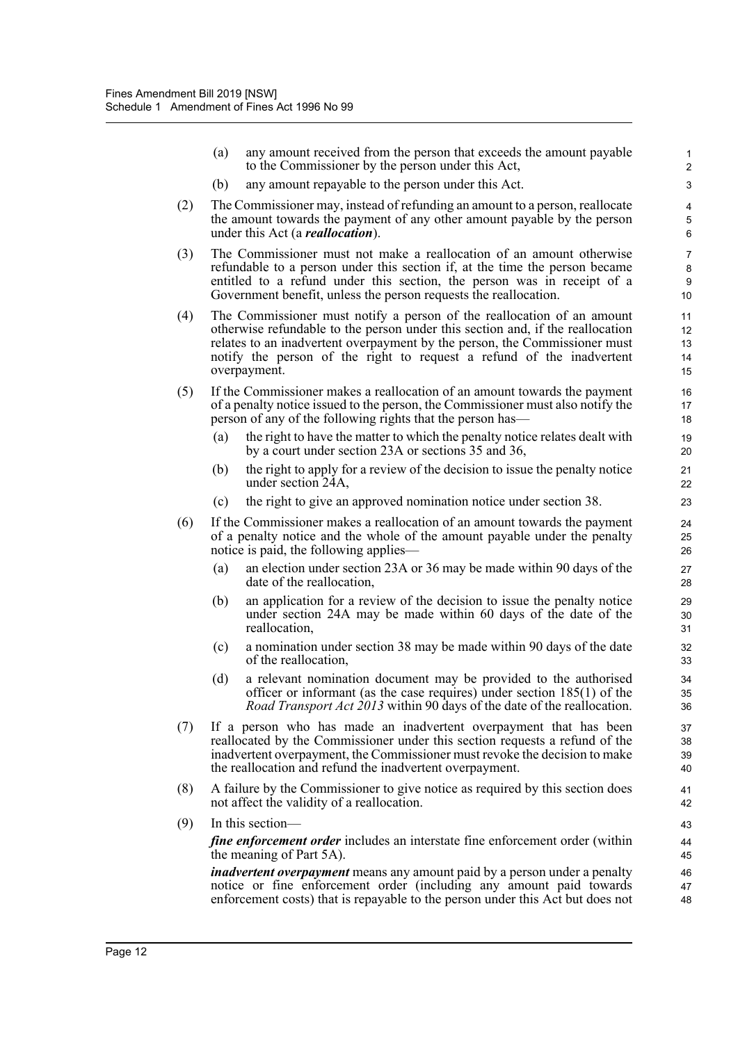|     | (a)                                                                                                                                                                                                                                                                                                | any amount received from the person that exceeds the amount payable<br>to the Commissioner by the person under this Act,                                                                                                                                                                                                        | 1<br>$\overline{2}$                     |  |  |  |  |  |
|-----|----------------------------------------------------------------------------------------------------------------------------------------------------------------------------------------------------------------------------------------------------------------------------------------------------|---------------------------------------------------------------------------------------------------------------------------------------------------------------------------------------------------------------------------------------------------------------------------------------------------------------------------------|-----------------------------------------|--|--|--|--|--|
|     | (b)                                                                                                                                                                                                                                                                                                | any amount repayable to the person under this Act.                                                                                                                                                                                                                                                                              | 3                                       |  |  |  |  |  |
| (2) |                                                                                                                                                                                                                                                                                                    | The Commissioner may, instead of refunding an amount to a person, reallocate<br>the amount towards the payment of any other amount payable by the person<br>under this Act (a <i>reallocation</i> ).                                                                                                                            | 4<br>5<br>6                             |  |  |  |  |  |
| (3) | The Commissioner must not make a reallocation of an amount otherwise<br>refundable to a person under this section if, at the time the person became<br>entitled to a refund under this section, the person was in receipt of a<br>Government benefit, unless the person requests the reallocation. |                                                                                                                                                                                                                                                                                                                                 |                                         |  |  |  |  |  |
| (4) |                                                                                                                                                                                                                                                                                                    | The Commissioner must notify a person of the reallocation of an amount<br>otherwise refundable to the person under this section and, if the reallocation<br>relates to an inadvertent overpayment by the person, the Commissioner must<br>notify the person of the right to request a refund of the inadvertent<br>overpayment. | 11<br>12 <sup>2</sup><br>13<br>14<br>15 |  |  |  |  |  |
| (5) |                                                                                                                                                                                                                                                                                                    | If the Commissioner makes a reallocation of an amount towards the payment<br>of a penalty notice issued to the person, the Commissioner must also notify the<br>person of any of the following rights that the person has—                                                                                                      | 16<br>17<br>18                          |  |  |  |  |  |
|     | (a)                                                                                                                                                                                                                                                                                                | the right to have the matter to which the penalty notice relates dealt with<br>by a court under section 23A or sections 35 and 36,                                                                                                                                                                                              | 19<br>20                                |  |  |  |  |  |
|     | (b)                                                                                                                                                                                                                                                                                                | the right to apply for a review of the decision to issue the penalty notice<br>under section 24A,                                                                                                                                                                                                                               | 21<br>22                                |  |  |  |  |  |
|     | (c)                                                                                                                                                                                                                                                                                                | the right to give an approved nomination notice under section 38.                                                                                                                                                                                                                                                               | 23                                      |  |  |  |  |  |
| (6) |                                                                                                                                                                                                                                                                                                    | If the Commissioner makes a reallocation of an amount towards the payment<br>of a penalty notice and the whole of the amount payable under the penalty<br>notice is paid, the following applies—                                                                                                                                | 24<br>25<br>26                          |  |  |  |  |  |
|     | (a)                                                                                                                                                                                                                                                                                                | an election under section 23A or 36 may be made within 90 days of the<br>date of the reallocation,                                                                                                                                                                                                                              | 27<br>28                                |  |  |  |  |  |
|     | (b)                                                                                                                                                                                                                                                                                                | an application for a review of the decision to issue the penalty notice<br>under section 24A may be made within 60 days of the date of the<br>reallocation,                                                                                                                                                                     | 29<br>30<br>31                          |  |  |  |  |  |
|     | (c)                                                                                                                                                                                                                                                                                                | a nomination under section 38 may be made within 90 days of the date<br>of the reallocation,                                                                                                                                                                                                                                    | 32<br>33                                |  |  |  |  |  |
|     | (d)                                                                                                                                                                                                                                                                                                | a relevant nomination document may be provided to the authorised<br>officer or informant (as the case requires) under section $185(1)$ of the<br>Road Transport Act 2013 within 90 days of the date of the reallocation.                                                                                                        | 34<br>35<br>36                          |  |  |  |  |  |
| (7) |                                                                                                                                                                                                                                                                                                    | If a person who has made an inadvertent overpayment that has been<br>reallocated by the Commissioner under this section requests a refund of the<br>inadvertent overpayment, the Commissioner must revoke the decision to make<br>the reallocation and refund the inadvertent overpayment.                                      | 37<br>38<br>39<br>40                    |  |  |  |  |  |
| (8) |                                                                                                                                                                                                                                                                                                    | A failure by the Commissioner to give notice as required by this section does<br>not affect the validity of a reallocation.                                                                                                                                                                                                     | 41<br>42                                |  |  |  |  |  |
| (9) |                                                                                                                                                                                                                                                                                                    | In this section-                                                                                                                                                                                                                                                                                                                | 43                                      |  |  |  |  |  |
|     |                                                                                                                                                                                                                                                                                                    | fine enforcement order includes an interstate fine enforcement order (within<br>the meaning of Part 5A).                                                                                                                                                                                                                        | 44<br>45                                |  |  |  |  |  |
|     |                                                                                                                                                                                                                                                                                                    | <i>inadvertent overpayment</i> means any amount paid by a person under a penalty<br>notice or fine enforcement order (including any amount paid towards<br>enforcement costs) that is repayable to the person under this Act but does not                                                                                       | 46<br>47<br>48                          |  |  |  |  |  |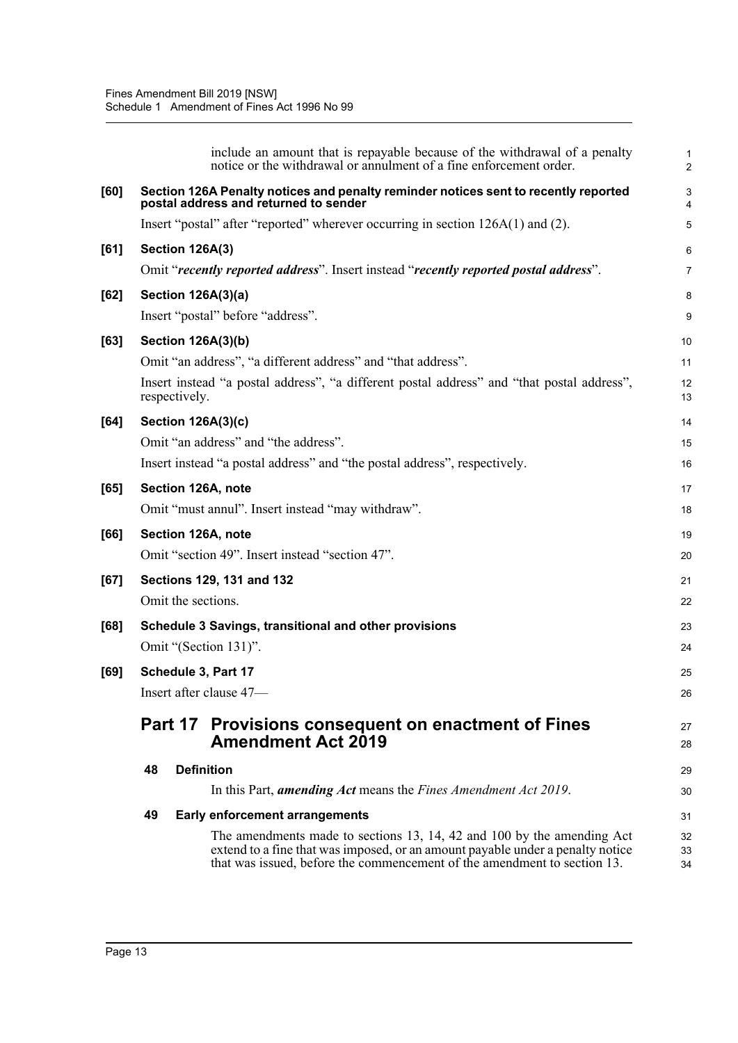|      | include an amount that is repayable because of the withdrawal of a penalty<br>notice or the withdrawal or annulment of a fine enforcement order.                                                                                     | $\mathbf{1}$<br>$\overline{2}$ |
|------|--------------------------------------------------------------------------------------------------------------------------------------------------------------------------------------------------------------------------------------|--------------------------------|
| [60] | Section 126A Penalty notices and penalty reminder notices sent to recently reported<br>postal address and returned to sender                                                                                                         | $\ensuremath{\mathsf{3}}$<br>4 |
|      | Insert "postal" after "reported" wherever occurring in section 126A(1) and (2).                                                                                                                                                      | 5                              |
| [61] | Section 126A(3)                                                                                                                                                                                                                      | 6                              |
|      | Omit "recently reported address". Insert instead "recently reported postal address".                                                                                                                                                 | $\overline{7}$                 |
| [62] | <b>Section 126A(3)(a)</b>                                                                                                                                                                                                            | 8                              |
|      | Insert "postal" before "address".                                                                                                                                                                                                    | $\boldsymbol{9}$               |
| [63] | <b>Section 126A(3)(b)</b>                                                                                                                                                                                                            | 10                             |
|      | Omit "an address", "a different address" and "that address".                                                                                                                                                                         | 11                             |
|      | Insert instead "a postal address", "a different postal address" and "that postal address",<br>respectively.                                                                                                                          | 12<br>13                       |
| [64] | <b>Section 126A(3)(c)</b>                                                                                                                                                                                                            | 14                             |
|      | Omit "an address" and "the address".                                                                                                                                                                                                 | 15                             |
|      | Insert instead "a postal address" and "the postal address", respectively.                                                                                                                                                            | 16                             |
| [65] | Section 126A, note                                                                                                                                                                                                                   | 17                             |
|      | Omit "must annul". Insert instead "may withdraw".                                                                                                                                                                                    | 18                             |
| [66] | Section 126A, note                                                                                                                                                                                                                   | 19                             |
|      | Omit "section 49". Insert instead "section 47".                                                                                                                                                                                      | 20                             |
| [67] | Sections 129, 131 and 132                                                                                                                                                                                                            | 21                             |
|      | Omit the sections.                                                                                                                                                                                                                   | 22                             |
| [68] | Schedule 3 Savings, transitional and other provisions                                                                                                                                                                                | 23                             |
|      | Omit "(Section 131)".                                                                                                                                                                                                                | 24                             |
| [69] | Schedule 3, Part 17                                                                                                                                                                                                                  | 25                             |
|      | Insert after clause 47—                                                                                                                                                                                                              | 26                             |
|      | Part 17 Provisions consequent on enactment of Fines<br><b>Amendment Act 2019</b>                                                                                                                                                     | 27<br>28                       |
|      | <b>Definition</b><br>48                                                                                                                                                                                                              | 29                             |
|      | In this Part, <i>amending Act</i> means the <i>Fines Amendment Act 2019</i> .                                                                                                                                                        | 30                             |
|      | 49<br><b>Early enforcement arrangements</b>                                                                                                                                                                                          | 31                             |
|      | The amendments made to sections 13, 14, 42 and 100 by the amending Act<br>extend to a fine that was imposed, or an amount payable under a penalty notice<br>that was issued, before the commencement of the amendment to section 13. | 32<br>33<br>34                 |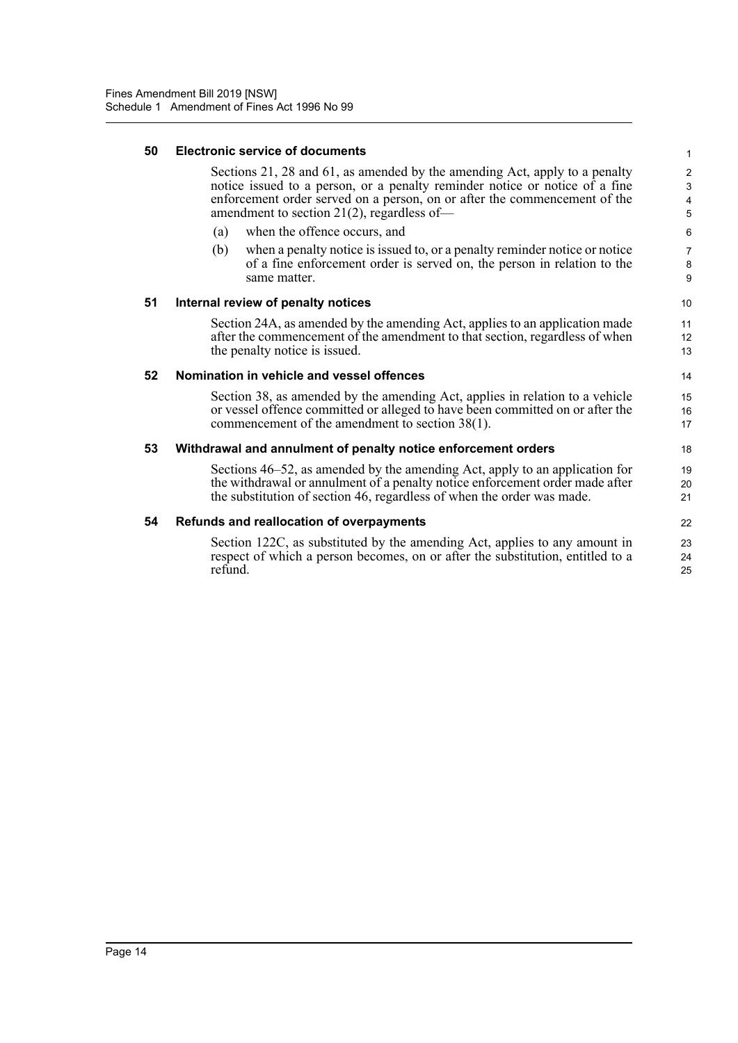### **50 Electronic service of documents**

Sections 21, 28 and 61, as amended by the amending Act, apply to a penalty notice issued to a person, or a penalty reminder notice or notice of a fine enforcement order served on a person, on or after the commencement of the amendment to section 21(2), regardless of—

- (a) when the offence occurs, and
- (b) when a penalty notice is issued to, or a penalty reminder notice or notice of a fine enforcement order is served on, the person in relation to the same matter.

### **51 Internal review of penalty notices**

Section 24A, as amended by the amending Act, applies to an application made after the commencement of the amendment to that section, regardless of when the penalty notice is issued.

#### **52 Nomination in vehicle and vessel offences**

Section 38, as amended by the amending Act, applies in relation to a vehicle or vessel offence committed or alleged to have been committed on or after the commencement of the amendment to section 38(1).

### **53 Withdrawal and annulment of penalty notice enforcement orders**

Sections 46–52, as amended by the amending Act, apply to an application for the withdrawal or annulment of a penalty notice enforcement order made after the substitution of section 46, regardless of when the order was made.

#### **54 Refunds and reallocation of overpayments**

Section 122C, as substituted by the amending Act, applies to any amount in respect of which a person becomes, on or after the substitution, entitled to a refund.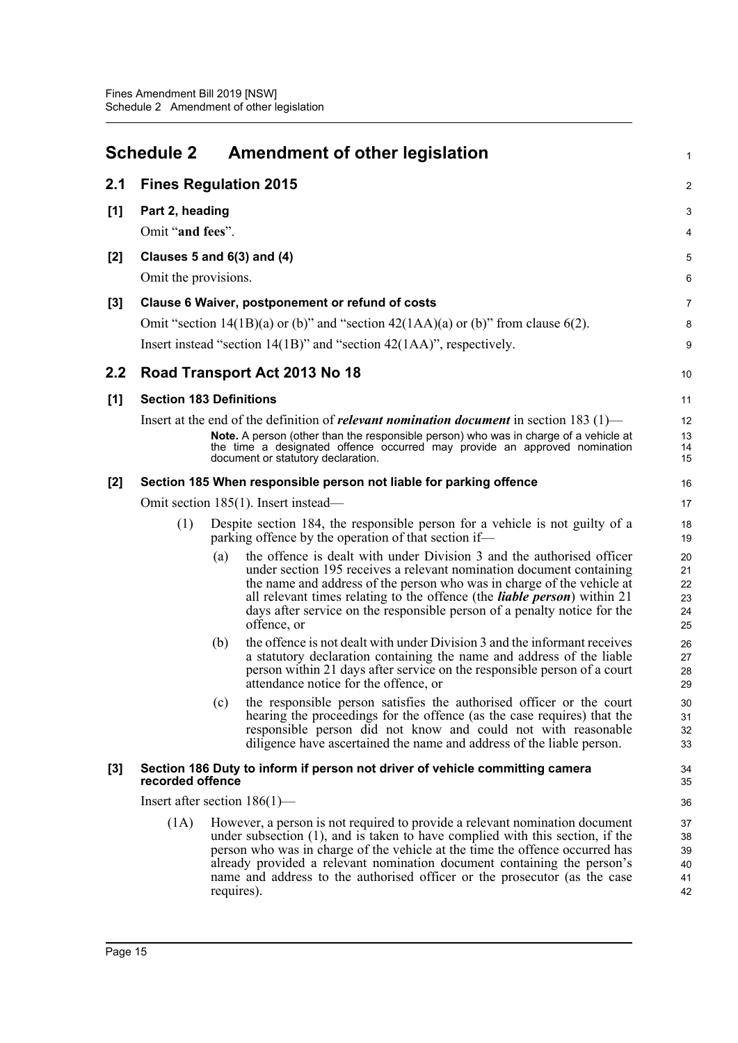<span id="page-19-0"></span>

| <b>Schedule 2</b> |                                                                                                  | <b>Amendment of other legislation</b>                                                                                                                                                                                                                                                                                                                                                                                 | $\mathbf{1}$                     |  |
|-------------------|--------------------------------------------------------------------------------------------------|-----------------------------------------------------------------------------------------------------------------------------------------------------------------------------------------------------------------------------------------------------------------------------------------------------------------------------------------------------------------------------------------------------------------------|----------------------------------|--|
| 2.1               |                                                                                                  | <b>Fines Regulation 2015</b>                                                                                                                                                                                                                                                                                                                                                                                          | $\overline{2}$                   |  |
| [1]               | Part 2, heading<br>Omit "and fees".                                                              |                                                                                                                                                                                                                                                                                                                                                                                                                       |                                  |  |
| [2]               | Clauses 5 and $6(3)$ and $(4)$<br>Omit the provisions.                                           |                                                                                                                                                                                                                                                                                                                                                                                                                       |                                  |  |
| [3]               |                                                                                                  | Clause 6 Waiver, postponement or refund of costs<br>Omit "section $14(1B)(a)$ or (b)" and "section $42(1AA)(a)$ or (b)" from clause 6(2).<br>Insert instead "section $14(1B)$ " and "section $42(1AA)$ ", respectively.                                                                                                                                                                                               | $\overline{7}$<br>8<br>9         |  |
| 2.2               |                                                                                                  | Road Transport Act 2013 No 18                                                                                                                                                                                                                                                                                                                                                                                         | 10                               |  |
| [1]               |                                                                                                  | <b>Section 183 Definitions</b><br>Insert at the end of the definition of <i>relevant nomination document</i> in section 183 $(1)$ —<br>Note. A person (other than the responsible person) who was in charge of a vehicle at<br>the time a designated offence occurred may provide an approved nomination<br>document or statutory declaration.                                                                        | 11<br>12<br>13<br>14<br>15       |  |
| [2]               | Section 185 When responsible person not liable for parking offence                               |                                                                                                                                                                                                                                                                                                                                                                                                                       |                                  |  |
|                   | Omit section 185(1). Insert instead—                                                             |                                                                                                                                                                                                                                                                                                                                                                                                                       |                                  |  |
|                   | (1)                                                                                              | Despite section 184, the responsible person for a vehicle is not guilty of a<br>parking offence by the operation of that section if—                                                                                                                                                                                                                                                                                  | 18<br>19                         |  |
|                   |                                                                                                  | the offence is dealt with under Division 3 and the authorised officer<br>(a)<br>under section 195 receives a relevant nomination document containing<br>the name and address of the person who was in charge of the vehicle at<br>all relevant times relating to the offence (the <i>liable person</i> ) within 21<br>days after service on the responsible person of a penalty notice for the<br>offence, or         | 20<br>21<br>22<br>23<br>24<br>25 |  |
|                   |                                                                                                  | the offence is not dealt with under Division 3 and the informant receives<br>(b)<br>a statutory declaration containing the name and address of the liable<br>person within 21 days after service on the responsible person of a court<br>attendance notice for the offence, or                                                                                                                                        | 26<br>27<br>28<br>29             |  |
|                   |                                                                                                  | the responsible person satisfies the authorised officer or the court<br>(c)<br>hearing the proceedings for the offence (as the case requires) that the<br>responsible person did not know and could not with reasonable<br>diligence have ascertained the name and address of the liable person.                                                                                                                      | 30<br>31<br>32<br>33             |  |
| $[3]$             | Section 186 Duty to inform if person not driver of vehicle committing camera<br>recorded offence |                                                                                                                                                                                                                                                                                                                                                                                                                       |                                  |  |
|                   | Insert after section $186(1)$ —                                                                  |                                                                                                                                                                                                                                                                                                                                                                                                                       |                                  |  |
|                   | (1A)                                                                                             | However, a person is not required to provide a relevant nomination document<br>under subsection $(1)$ , and is taken to have complied with this section, if the<br>person who was in charge of the vehicle at the time the offence occurred has<br>already provided a relevant nomination document containing the person's<br>name and address to the authorised officer or the prosecutor (as the case<br>requires). | 37<br>38<br>39<br>40<br>41<br>42 |  |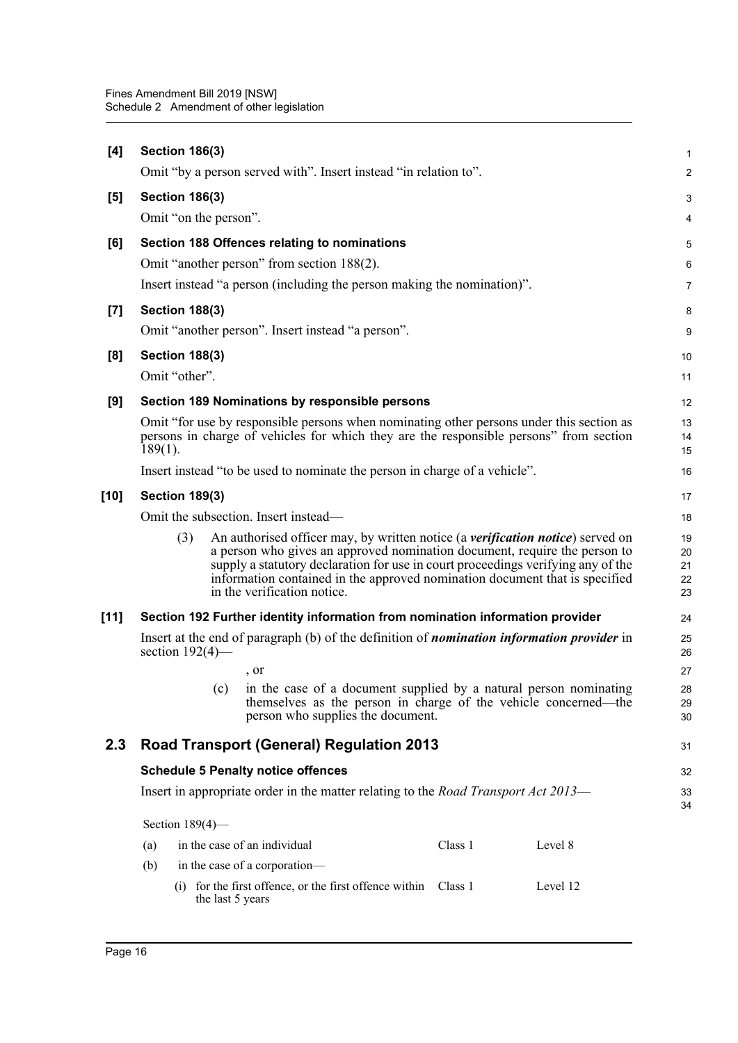| $[4]$            | <b>Section 186(3)</b>                                                                                                                                                                                                                                                                                                                                                | $\mathbf{1}$               |  |  |  |
|------------------|----------------------------------------------------------------------------------------------------------------------------------------------------------------------------------------------------------------------------------------------------------------------------------------------------------------------------------------------------------------------|----------------------------|--|--|--|
|                  | Omit "by a person served with". Insert instead "in relation to".                                                                                                                                                                                                                                                                                                     | 2                          |  |  |  |
| [5]              | <b>Section 186(3)</b>                                                                                                                                                                                                                                                                                                                                                | $\sqrt{3}$                 |  |  |  |
|                  | Omit "on the person".                                                                                                                                                                                                                                                                                                                                                | 4                          |  |  |  |
| [6]              | Section 188 Offences relating to nominations<br>Omit "another person" from section 188(2).                                                                                                                                                                                                                                                                           | 5<br>$6\phantom{1}6$       |  |  |  |
|                  | Insert instead "a person (including the person making the nomination)".                                                                                                                                                                                                                                                                                              | $\overline{7}$             |  |  |  |
| $\left[7\right]$ | <b>Section 188(3)</b>                                                                                                                                                                                                                                                                                                                                                | 8                          |  |  |  |
|                  | Omit "another person". Insert instead "a person".                                                                                                                                                                                                                                                                                                                    | 9                          |  |  |  |
| [8]              | <b>Section 188(3)</b><br>Omit "other".                                                                                                                                                                                                                                                                                                                               | 10<br>11                   |  |  |  |
|                  |                                                                                                                                                                                                                                                                                                                                                                      | 12                         |  |  |  |
| [9]              | Section 189 Nominations by responsible persons<br>Omit "for use by responsible persons when nominating other persons under this section as<br>persons in charge of vehicles for which they are the responsible persons" from section<br>$189(1)$ .                                                                                                                   |                            |  |  |  |
|                  | Insert instead "to be used to nominate the person in charge of a vehicle".                                                                                                                                                                                                                                                                                           | 16                         |  |  |  |
| [10]             | <b>Section 189(3)</b>                                                                                                                                                                                                                                                                                                                                                |                            |  |  |  |
|                  | Omit the subsection. Insert instead—                                                                                                                                                                                                                                                                                                                                 |                            |  |  |  |
|                  | (3)<br>An authorised officer may, by written notice (a verification notice) served on<br>a person who gives an approved nomination document, require the person to<br>supply a statutory declaration for use in court proceedings verifying any of the<br>information contained in the approved nomination document that is specified<br>in the verification notice. | 19<br>20<br>21<br>22<br>23 |  |  |  |
| $[11]$           | Section 192 Further identity information from nomination information provider                                                                                                                                                                                                                                                                                        |                            |  |  |  |
|                  | Insert at the end of paragraph (b) of the definition of <i>nomination information provider</i> in<br>section $192(4)$ —                                                                                                                                                                                                                                              |                            |  |  |  |
|                  | , or                                                                                                                                                                                                                                                                                                                                                                 | 27                         |  |  |  |
|                  | in the case of a document supplied by a natural person nominating<br>(c)<br>themselves as the person in charge of the vehicle concerned—the<br>person who supplies the document.                                                                                                                                                                                     | 28<br>29<br>30             |  |  |  |
| 2.3              | <b>Road Transport (General) Regulation 2013</b>                                                                                                                                                                                                                                                                                                                      |                            |  |  |  |
|                  | <b>Schedule 5 Penalty notice offences</b>                                                                                                                                                                                                                                                                                                                            |                            |  |  |  |
|                  | Insert in appropriate order in the matter relating to the <i>Road Transport Act 2013</i> —                                                                                                                                                                                                                                                                           |                            |  |  |  |
|                  | Section $189(4)$ —                                                                                                                                                                                                                                                                                                                                                   |                            |  |  |  |
|                  | in the case of an individual<br>Class 1<br>Level 8<br>(a)<br>in the case of a corporation-<br>(b)                                                                                                                                                                                                                                                                    |                            |  |  |  |
|                  | (i) for the first offence, or the first offence within<br>Class 1<br>Level 12<br>the last 5 years                                                                                                                                                                                                                                                                    |                            |  |  |  |